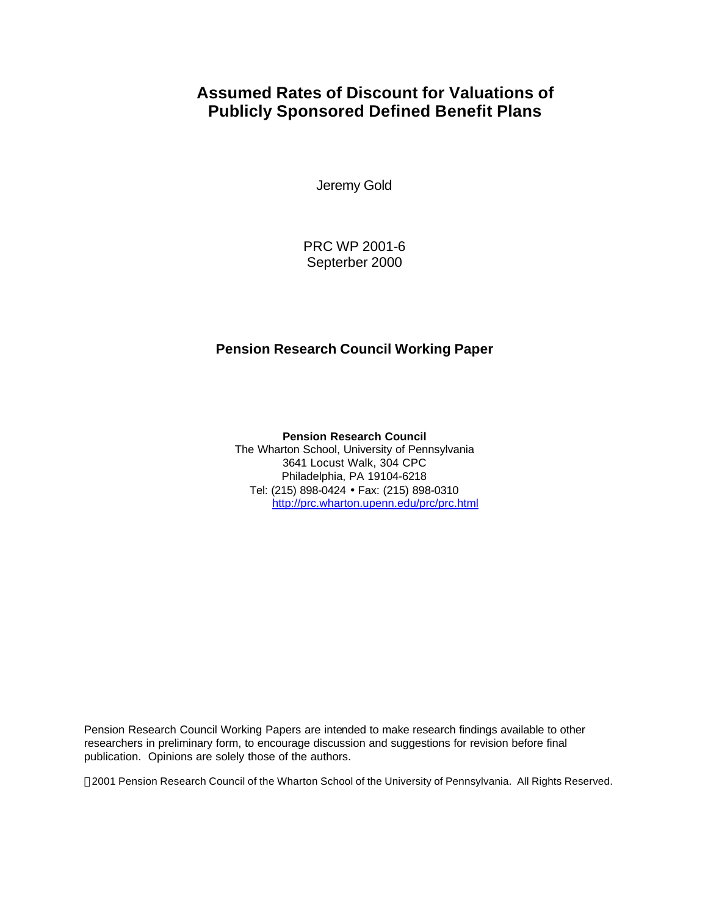### **Assumed Rates of Discount for Valuations of Publicly Sponsored Defined Benefit Plans**

Jeremy Gold

PRC WP 2001-6 Septerber 2000

### **Pension Research Council Working Paper**

**Pension Research Council** The Wharton School, University of Pennsylvania 3641 Locust Walk, 304 CPC Philadelphia, PA 19104-6218 Tel: (215) 898-0424 • Fax: (215) 898-0310 http://prc.wharton.upenn.edu/prc/prc.html

Pension Research Council Working Papers are intended to make research findings available to other researchers in preliminary form, to encourage discussion and suggestions for revision before final publication. Opinions are solely those of the authors.

2001 Pension Research Council of the Wharton School of the University of Pennsylvania. All Rights Reserved.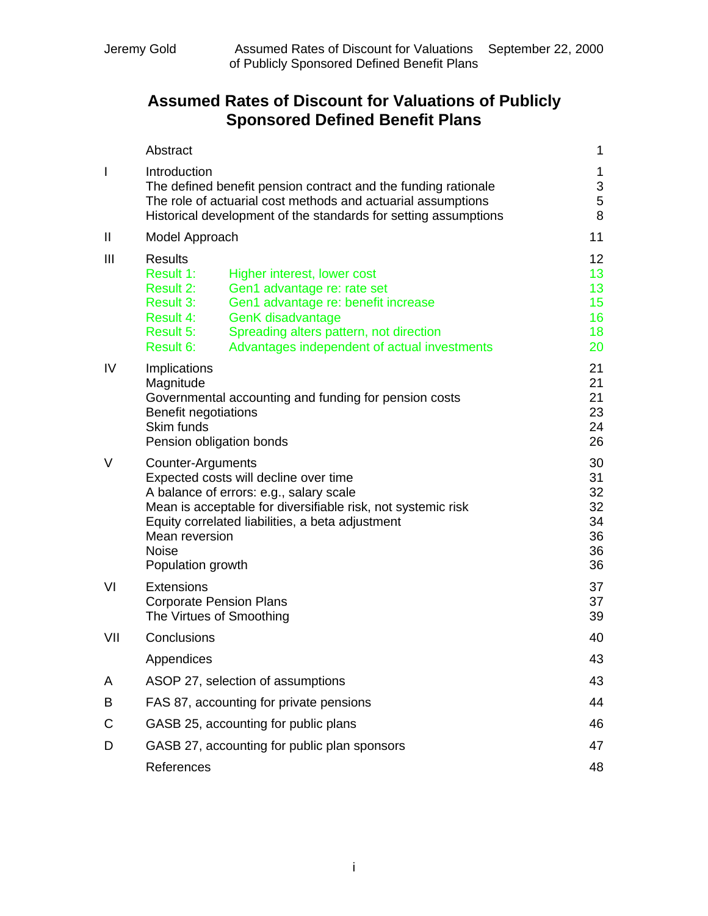## **Assumed Rates of Discount for Valuations of Publicly Sponsored Defined Benefit Plans**

|                | Abstract                                                                                                                                                                                                                                                                                                                 | 1                                                                              |
|----------------|--------------------------------------------------------------------------------------------------------------------------------------------------------------------------------------------------------------------------------------------------------------------------------------------------------------------------|--------------------------------------------------------------------------------|
| I              | Introduction<br>The defined benefit pension contract and the funding rationale<br>The role of actuarial cost methods and actuarial assumptions<br>Historical development of the standards for setting assumptions                                                                                                        | 1<br>$\ensuremath{\mathsf{3}}$<br>5<br>8                                       |
| $\mathbf{I}$   | Model Approach                                                                                                                                                                                                                                                                                                           | 11                                                                             |
| $\mathbf{III}$ | <b>Results</b><br>Result 1:<br>Higher interest, lower cost<br>Result 2:<br>Gen1 advantage re: rate set<br>Result 3:<br>Gen1 advantage re: benefit increase<br><b>GenK</b> disadvantage<br>Result 4:<br>Spreading alters pattern, not direction<br>Result 5:<br>Result 6:<br>Advantages independent of actual investments | 12 <sub>2</sub><br>13 <sub>1</sub><br>13<br>15 <sub>15</sub><br>16<br>18<br>20 |
| IV             | Implications<br>Magnitude<br>Governmental accounting and funding for pension costs<br><b>Benefit negotiations</b><br>Skim funds<br>Pension obligation bonds                                                                                                                                                              | 21<br>21<br>21<br>23<br>24<br>26                                               |
| V              | Counter-Arguments<br>Expected costs will decline over time<br>A balance of errors: e.g., salary scale<br>Mean is acceptable for diversifiable risk, not systemic risk<br>Equity correlated liabilities, a beta adjustment<br>Mean reversion<br><b>Noise</b><br>Population growth                                         | 30<br>31<br>32<br>32<br>34<br>36<br>36<br>36                                   |
| VI             | <b>Extensions</b><br><b>Corporate Pension Plans</b><br>The Virtues of Smoothing                                                                                                                                                                                                                                          | 37<br>37<br>39                                                                 |
| VII            | Conclusions                                                                                                                                                                                                                                                                                                              | 40                                                                             |
|                | Appendices                                                                                                                                                                                                                                                                                                               | 43                                                                             |
| A              | ASOP 27, selection of assumptions                                                                                                                                                                                                                                                                                        | 43                                                                             |
| B              | FAS 87, accounting for private pensions                                                                                                                                                                                                                                                                                  | 44                                                                             |
| C              | GASB 25, accounting for public plans                                                                                                                                                                                                                                                                                     | 46                                                                             |
| D              | GASB 27, accounting for public plan sponsors                                                                                                                                                                                                                                                                             | 47                                                                             |
|                | References                                                                                                                                                                                                                                                                                                               | 48                                                                             |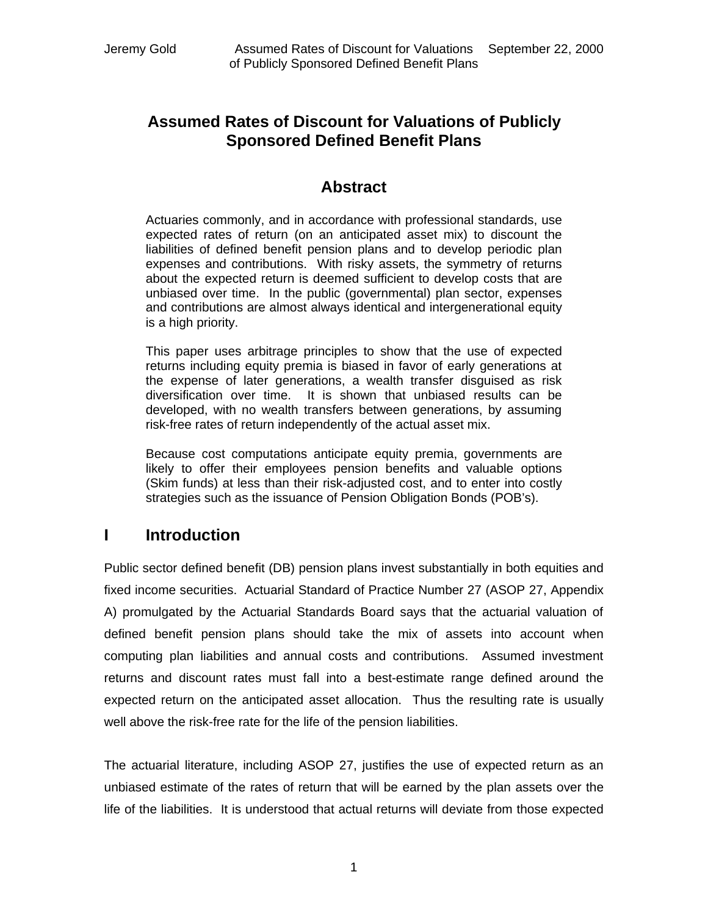### **Assumed Rates of Discount for Valuations of Publicly Sponsored Defined Benefit Plans**

### **Abstract**

Actuaries commonly, and in accordance with professional standards, use expected rates of return (on an anticipated asset mix) to discount the liabilities of defined benefit pension plans and to develop periodic plan expenses and contributions. With risky assets, the symmetry of returns about the expected return is deemed sufficient to develop costs that are unbiased over time. In the public (governmental) plan sector, expenses and contributions are almost always identical and intergenerational equity is a high priority.

This paper uses arbitrage principles to show that the use of expected returns including equity premia is biased in favor of early generations at the expense of later generations, a wealth transfer disguised as risk diversification over time. It is shown that unbiased results can be developed, with no wealth transfers between generations, by assuming risk-free rates of return independently of the actual asset mix.

Because cost computations anticipate equity premia, governments are likely to offer their employees pension benefits and valuable options (Skim funds) at less than their risk-adjusted cost, and to enter into costly strategies such as the issuance of Pension Obligation Bonds (POB's).

### **I Introduction**

Public sector defined benefit (DB) pension plans invest substantially in both equities and fixed income securities. Actuarial Standard of Practice Number 27 (ASOP 27, Appendix A) promulgated by the Actuarial Standards Board says that the actuarial valuation of defined benefit pension plans should take the mix of assets into account when computing plan liabilities and annual costs and contributions. Assumed investment returns and discount rates must fall into a best-estimate range defined around the expected return on the anticipated asset allocation. Thus the resulting rate is usually well above the risk-free rate for the life of the pension liabilities.

The actuarial literature, including ASOP 27, justifies the use of expected return as an unbiased estimate of the rates of return that will be earned by the plan assets over the life of the liabilities. It is understood that actual returns will deviate from those expected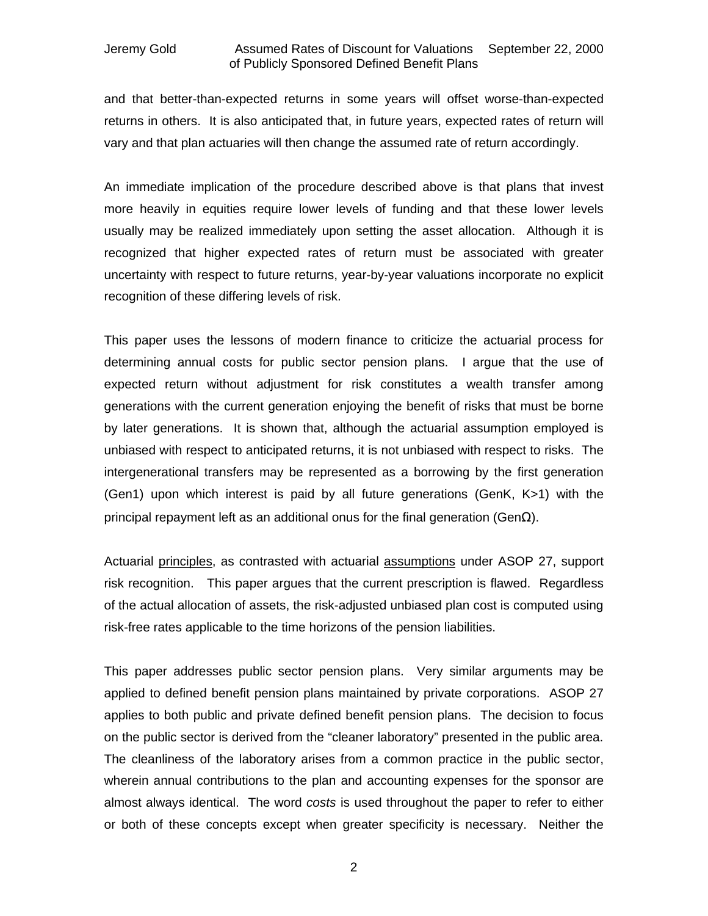and that better-than-expected returns in some years will offset worse-than-expected returns in others. It is also anticipated that, in future years, expected rates of return will vary and that plan actuaries will then change the assumed rate of return accordingly.

An immediate implication of the procedure described above is that plans that invest more heavily in equities require lower levels of funding and that these lower levels usually may be realized immediately upon setting the asset allocation. Although it is recognized that higher expected rates of return must be associated with greater uncertainty with respect to future returns, year-by-year valuations incorporate no explicit recognition of these differing levels of risk.

This paper uses the lessons of modern finance to criticize the actuarial process for determining annual costs for public sector pension plans. I argue that the use of expected return without adjustment for risk constitutes a wealth transfer among generations with the current generation enjoying the benefit of risks that must be borne by later generations. It is shown that, although the actuarial assumption employed is unbiased with respect to anticipated returns, it is not unbiased with respect to risks. The intergenerational transfers may be represented as a borrowing by the first generation (Gen1) upon which interest is paid by all future generations (GenK, K>1) with the principal repayment left as an additional onus for the final generation (Gen $Ω$ ).

Actuarial principles, as contrasted with actuarial assumptions under ASOP 27, support risk recognition. This paper argues that the current prescription is flawed. Regardless of the actual allocation of assets, the risk-adjusted unbiased plan cost is computed using risk-free rates applicable to the time horizons of the pension liabilities.

This paper addresses public sector pension plans. Very similar arguments may be applied to defined benefit pension plans maintained by private corporations. ASOP 27 applies to both public and private defined benefit pension plans. The decision to focus on the public sector is derived from the "cleaner laboratory" presented in the public area. The cleanliness of the laboratory arises from a common practice in the public sector, wherein annual contributions to the plan and accounting expenses for the sponsor are almost always identical. The word *costs* is used throughout the paper to refer to either or both of these concepts except when greater specificity is necessary. Neither the

2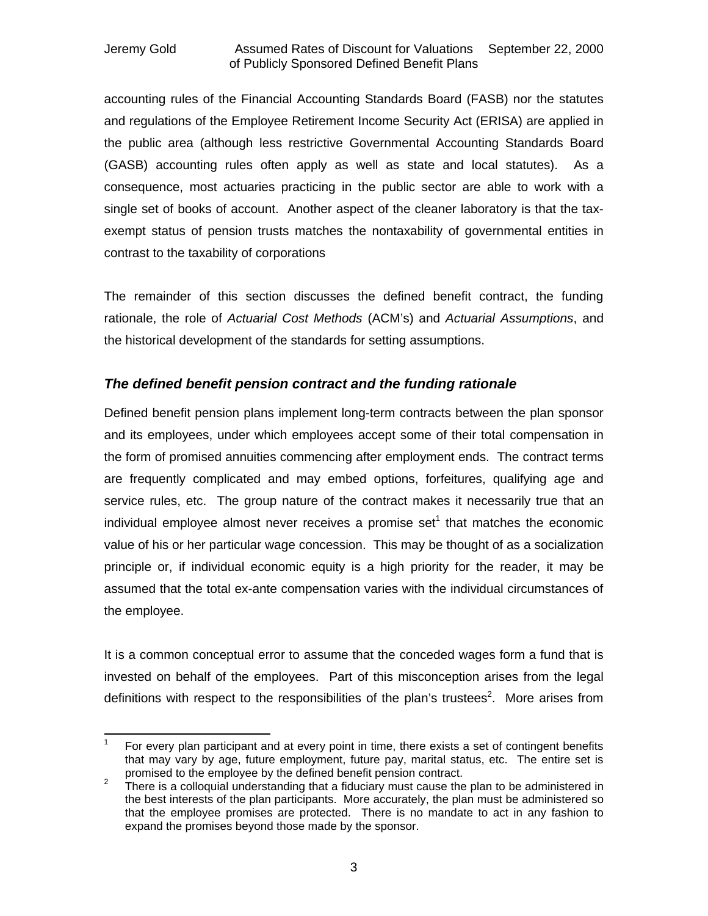accounting rules of the Financial Accounting Standards Board (FASB) nor the statutes and regulations of the Employee Retirement Income Security Act (ERISA) are applied in the public area (although less restrictive Governmental Accounting Standards Board (GASB) accounting rules often apply as well as state and local statutes). As a consequence, most actuaries practicing in the public sector are able to work with a single set of books of account. Another aspect of the cleaner laboratory is that the taxexempt status of pension trusts matches the nontaxability of governmental entities in contrast to the taxability of corporations

The remainder of this section discusses the defined benefit contract, the funding rationale, the role of *Actuarial Cost Methods* (ACM's) and *Actuarial Assumptions*, and the historical development of the standards for setting assumptions.

### *The defined benefit pension contract and the funding rationale*

Defined benefit pension plans implement long-term contracts between the plan sponsor and its employees, under which employees accept some of their total compensation in the form of promised annuities commencing after employment ends. The contract terms are frequently complicated and may embed options, forfeitures, qualifying age and service rules, etc. The group nature of the contract makes it necessarily true that an individual employee almost never receives a promise set<sup>1</sup> that matches the economic value of his or her particular wage concession. This may be thought of as a socialization principle or, if individual economic equity is a high priority for the reader, it may be assumed that the total ex-ante compensation varies with the individual circumstances of the employee.

It is a common conceptual error to assume that the conceded wages form a fund that is invested on behalf of the employees. Part of this misconception arises from the legal definitions with respect to the responsibilities of the plan's trustees<sup>2</sup>. More arises from

 $\frac{1}{1}$ For every plan participant and at every point in time, there exists a set of contingent benefits that may vary by age, future employment, future pay, marital status, etc. The entire set is promised to the employee by the defined benefit pension contract.

<sup>2</sup> There is a colloquial understanding that a fiduciary must cause the plan to be administered in the best interests of the plan participants. More accurately, the plan must be administered so that the employee promises are protected. There is no mandate to act in any fashion to expand the promises beyond those made by the sponsor.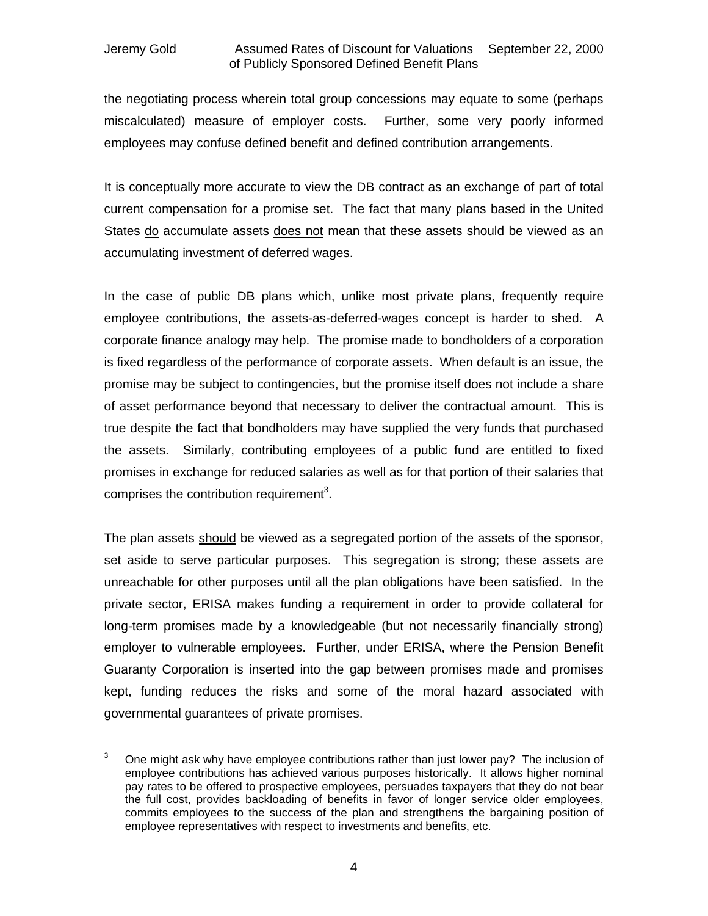the negotiating process wherein total group concessions may equate to some (perhaps miscalculated) measure of employer costs. Further, some very poorly informed employees may confuse defined benefit and defined contribution arrangements.

It is conceptually more accurate to view the DB contract as an exchange of part of total current compensation for a promise set. The fact that many plans based in the United States do accumulate assets does not mean that these assets should be viewed as an accumulating investment of deferred wages.

In the case of public DB plans which, unlike most private plans, frequently require employee contributions, the assets-as-deferred-wages concept is harder to shed. A corporate finance analogy may help. The promise made to bondholders of a corporation is fixed regardless of the performance of corporate assets. When default is an issue, the promise may be subject to contingencies, but the promise itself does not include a share of asset performance beyond that necessary to deliver the contractual amount. This is true despite the fact that bondholders may have supplied the very funds that purchased the assets. Similarly, contributing employees of a public fund are entitled to fixed promises in exchange for reduced salaries as well as for that portion of their salaries that comprises the contribution requirement<sup>3</sup>.

The plan assets should be viewed as a segregated portion of the assets of the sponsor, set aside to serve particular purposes. This segregation is strong; these assets are unreachable for other purposes until all the plan obligations have been satisfied. In the private sector, ERISA makes funding a requirement in order to provide collateral for long-term promises made by a knowledgeable (but not necessarily financially strong) employer to vulnerable employees. Further, under ERISA, where the Pension Benefit Guaranty Corporation is inserted into the gap between promises made and promises kept, funding reduces the risks and some of the moral hazard associated with governmental guarantees of private promises.

 $\overline{3}$ <sup>3</sup> One might ask why have employee contributions rather than just lower pay? The inclusion of employee contributions has achieved various purposes historically. It allows higher nominal pay rates to be offered to prospective employees, persuades taxpayers that they do not bear the full cost, provides backloading of benefits in favor of longer service older employees, commits employees to the success of the plan and strengthens the bargaining position of employee representatives with respect to investments and benefits, etc.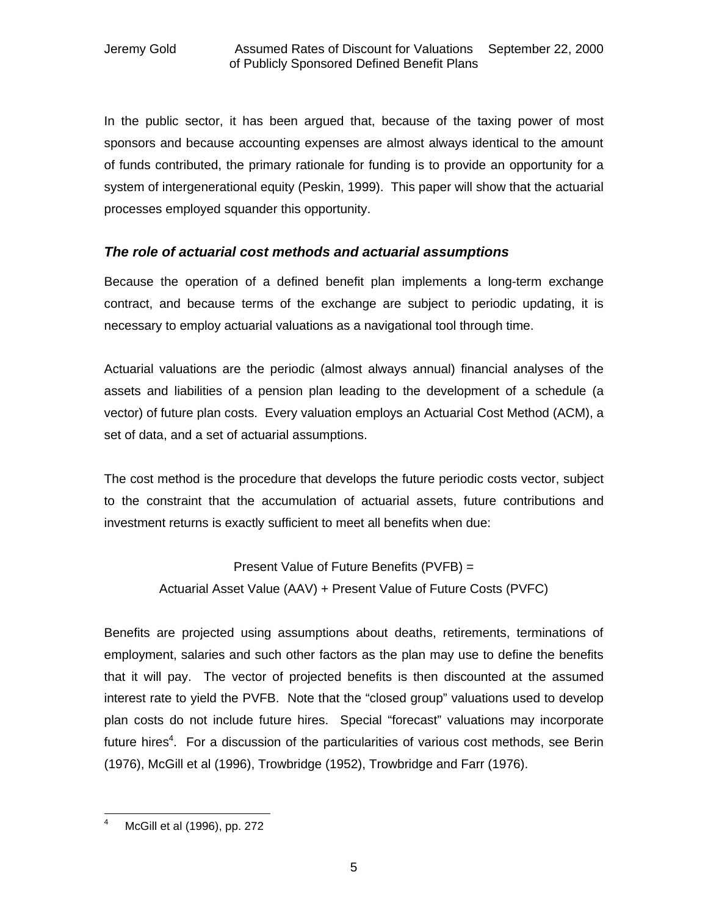In the public sector, it has been argued that, because of the taxing power of most sponsors and because accounting expenses are almost always identical to the amount of funds contributed, the primary rationale for funding is to provide an opportunity for a system of intergenerational equity (Peskin, 1999). This paper will show that the actuarial processes employed squander this opportunity.

### *The role of actuarial cost methods and actuarial assumptions*

Because the operation of a defined benefit plan implements a long-term exchange contract, and because terms of the exchange are subject to periodic updating, it is necessary to employ actuarial valuations as a navigational tool through time.

Actuarial valuations are the periodic (almost always annual) financial analyses of the assets and liabilities of a pension plan leading to the development of a schedule (a vector) of future plan costs. Every valuation employs an Actuarial Cost Method (ACM), a set of data, and a set of actuarial assumptions.

The cost method is the procedure that develops the future periodic costs vector, subject to the constraint that the accumulation of actuarial assets, future contributions and investment returns is exactly sufficient to meet all benefits when due:

> Present Value of Future Benefits (PVFB) = Actuarial Asset Value (AAV) + Present Value of Future Costs (PVFC)

Benefits are projected using assumptions about deaths, retirements, terminations of employment, salaries and such other factors as the plan may use to define the benefits that it will pay. The vector of projected benefits is then discounted at the assumed interest rate to yield the PVFB. Note that the "closed group" valuations used to develop plan costs do not include future hires. Special "forecast" valuations may incorporate future hires<sup>4</sup>. For a discussion of the particularities of various cost methods, see Berin (1976), McGill et al (1996), Trowbridge (1952), Trowbridge and Farr (1976).

 McGill et al (1996), pp. 272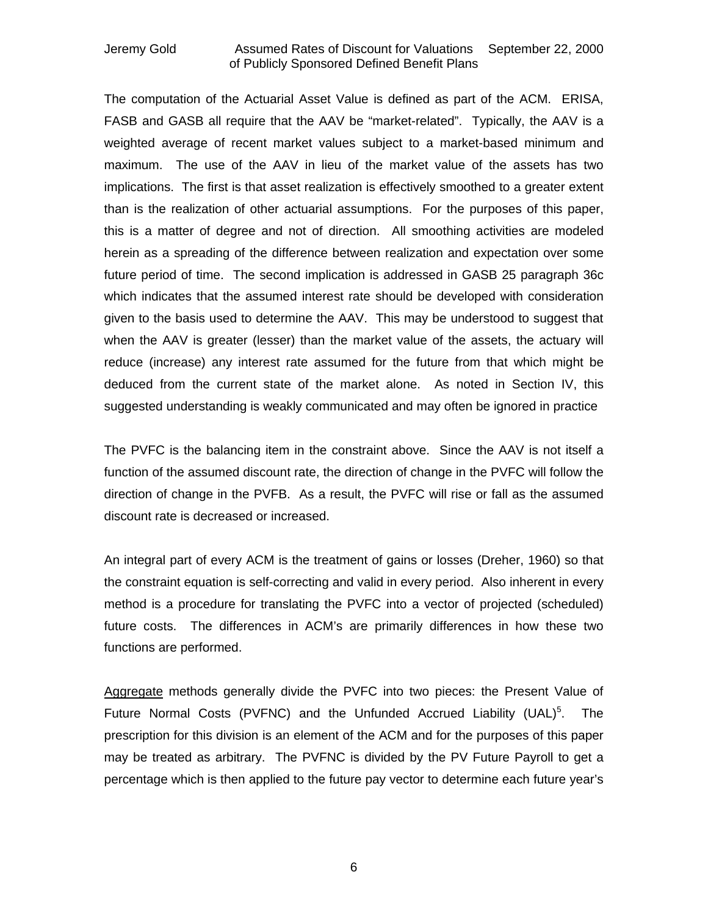The computation of the Actuarial Asset Value is defined as part of the ACM. ERISA, FASB and GASB all require that the AAV be "market-related". Typically, the AAV is a weighted average of recent market values subject to a market-based minimum and maximum. The use of the AAV in lieu of the market value of the assets has two implications. The first is that asset realization is effectively smoothed to a greater extent than is the realization of other actuarial assumptions. For the purposes of this paper, this is a matter of degree and not of direction. All smoothing activities are modeled herein as a spreading of the difference between realization and expectation over some future period of time. The second implication is addressed in GASB 25 paragraph 36c which indicates that the assumed interest rate should be developed with consideration given to the basis used to determine the AAV. This may be understood to suggest that when the AAV is greater (lesser) than the market value of the assets, the actuary will reduce (increase) any interest rate assumed for the future from that which might be deduced from the current state of the market alone. As noted in Section IV, this suggested understanding is weakly communicated and may often be ignored in practice

The PVFC is the balancing item in the constraint above. Since the AAV is not itself a function of the assumed discount rate, the direction of change in the PVFC will follow the direction of change in the PVFB. As a result, the PVFC will rise or fall as the assumed discount rate is decreased or increased.

An integral part of every ACM is the treatment of gains or losses (Dreher, 1960) so that the constraint equation is self-correcting and valid in every period. Also inherent in every method is a procedure for translating the PVFC into a vector of projected (scheduled) future costs. The differences in ACM's are primarily differences in how these two functions are performed.

Aggregate methods generally divide the PVFC into two pieces: the Present Value of Future Normal Costs (PVFNC) and the Unfunded Accrued Liability (UAL)<sup>5</sup>. The prescription for this division is an element of the ACM and for the purposes of this paper may be treated as arbitrary. The PVFNC is divided by the PV Future Payroll to get a percentage which is then applied to the future pay vector to determine each future year's

6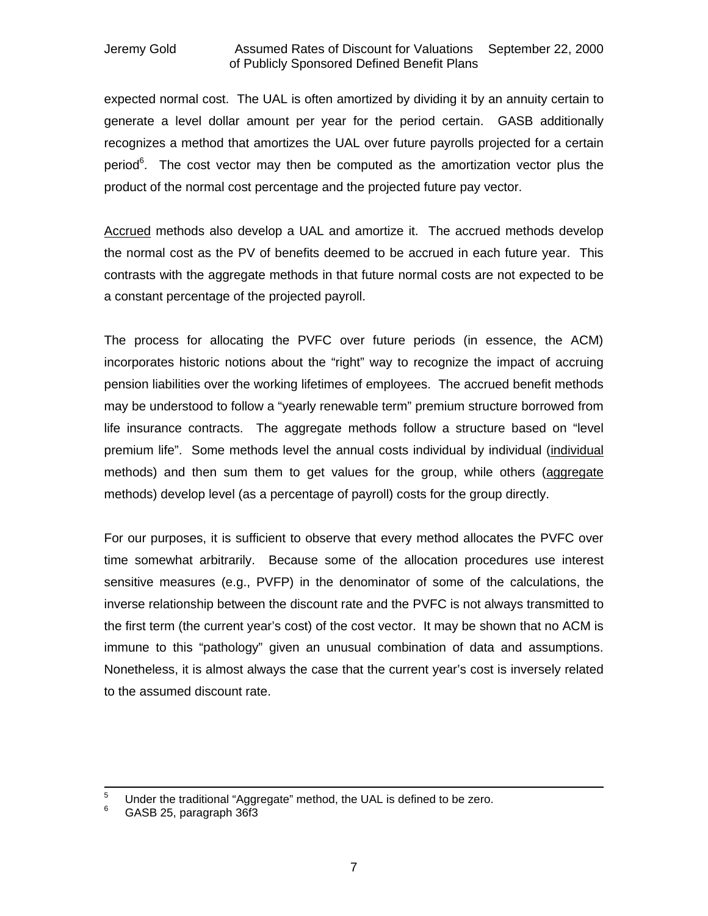expected normal cost. The UAL is often amortized by dividing it by an annuity certain to generate a level dollar amount per year for the period certain. GASB additionally recognizes a method that amortizes the UAL over future payrolls projected for a certain period<sup>6</sup>. The cost vector may then be computed as the amortization vector plus the product of the normal cost percentage and the projected future pay vector.

Accrued methods also develop a UAL and amortize it. The accrued methods develop the normal cost as the PV of benefits deemed to be accrued in each future year. This contrasts with the aggregate methods in that future normal costs are not expected to be a constant percentage of the projected payroll.

The process for allocating the PVFC over future periods (in essence, the ACM) incorporates historic notions about the "right" way to recognize the impact of accruing pension liabilities over the working lifetimes of employees. The accrued benefit methods may be understood to follow a "yearly renewable term" premium structure borrowed from life insurance contracts. The aggregate methods follow a structure based on "level premium life". Some methods level the annual costs individual by individual (individual methods) and then sum them to get values for the group, while others (aggregate methods) develop level (as a percentage of payroll) costs for the group directly.

For our purposes, it is sufficient to observe that every method allocates the PVFC over time somewhat arbitrarily. Because some of the allocation procedures use interest sensitive measures (e.g., PVFP) in the denominator of some of the calculations, the inverse relationship between the discount rate and the PVFC is not always transmitted to the first term (the current year's cost) of the cost vector. It may be shown that no ACM is immune to this "pathology" given an unusual combination of data and assumptions. Nonetheless, it is almost always the case that the current year's cost is inversely related to the assumed discount rate.

<sup>5</sup> <sup>5</sup> Under the traditional "Aggregate" method, the UAL is defined to be zero.<br><sup>6</sup> CASB 25, pergarash 26t2

<sup>6</sup> GASB 25, paragraph 36f3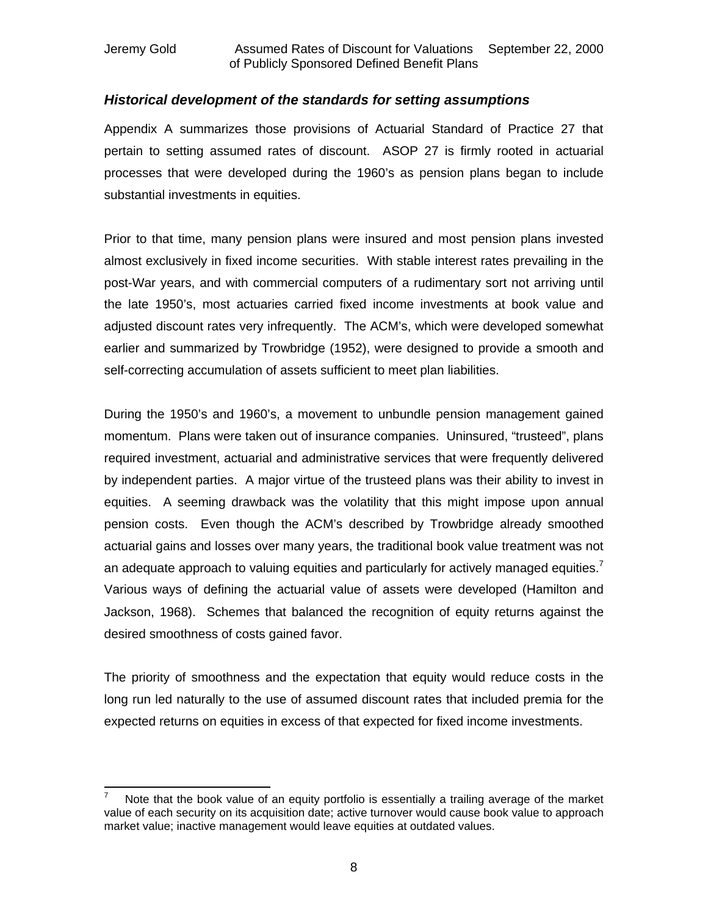### *Historical development of the standards for setting assumptions*

Appendix A summarizes those provisions of Actuarial Standard of Practice 27 that pertain to setting assumed rates of discount. ASOP 27 is firmly rooted in actuarial processes that were developed during the 1960's as pension plans began to include substantial investments in equities.

Prior to that time, many pension plans were insured and most pension plans invested almost exclusively in fixed income securities. With stable interest rates prevailing in the post-War years, and with commercial computers of a rudimentary sort not arriving until the late 1950's, most actuaries carried fixed income investments at book value and adjusted discount rates very infrequently. The ACM's, which were developed somewhat earlier and summarized by Trowbridge (1952), were designed to provide a smooth and self-correcting accumulation of assets sufficient to meet plan liabilities.

During the 1950's and 1960's, a movement to unbundle pension management gained momentum. Plans were taken out of insurance companies. Uninsured, "trusteed", plans required investment, actuarial and administrative services that were frequently delivered by independent parties. A major virtue of the trusteed plans was their ability to invest in equities. A seeming drawback was the volatility that this might impose upon annual pension costs. Even though the ACM's described by Trowbridge already smoothed actuarial gains and losses over many years, the traditional book value treatment was not an adequate approach to valuing equities and particularly for actively managed equities.<sup>7</sup> Various ways of defining the actuarial value of assets were developed (Hamilton and Jackson, 1968). Schemes that balanced the recognition of equity returns against the desired smoothness of costs gained favor.

The priority of smoothness and the expectation that equity would reduce costs in the long run led naturally to the use of assumed discount rates that included premia for the expected returns on equities in excess of that expected for fixed income investments.

 $\overline{a}$ Note that the book value of an equity portfolio is essentially a trailing average of the market value of each security on its acquisition date; active turnover would cause book value to approach market value; inactive management would leave equities at outdated values.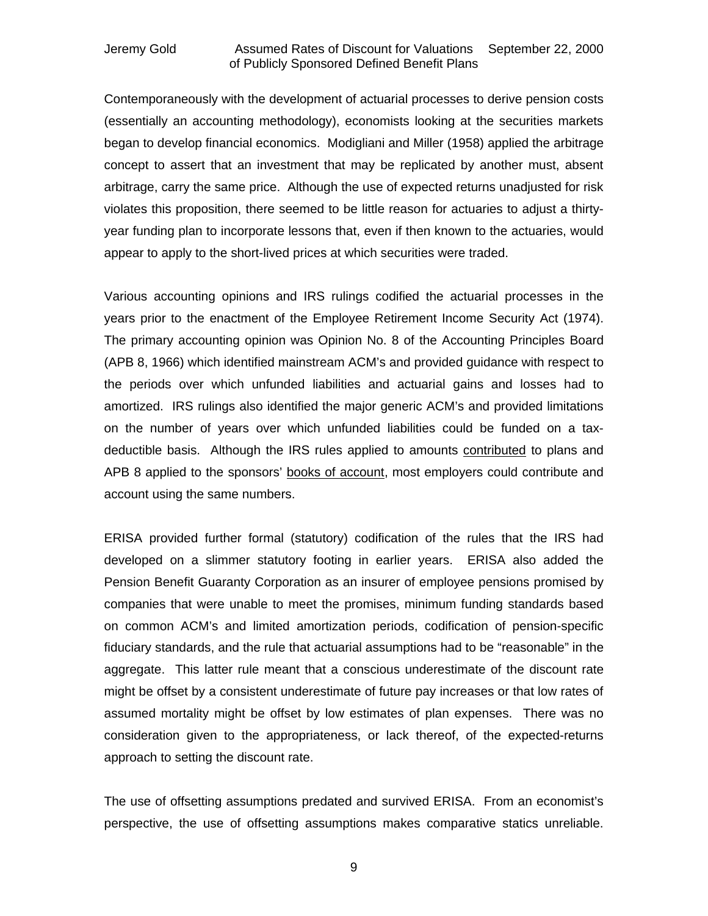Contemporaneously with the development of actuarial processes to derive pension costs (essentially an accounting methodology), economists looking at the securities markets began to develop financial economics. Modigliani and Miller (1958) applied the arbitrage concept to assert that an investment that may be replicated by another must, absent arbitrage, carry the same price. Although the use of expected returns unadjusted for risk violates this proposition, there seemed to be little reason for actuaries to adjust a thirtyyear funding plan to incorporate lessons that, even if then known to the actuaries, would appear to apply to the short-lived prices at which securities were traded.

Various accounting opinions and IRS rulings codified the actuarial processes in the years prior to the enactment of the Employee Retirement Income Security Act (1974). The primary accounting opinion was Opinion No. 8 of the Accounting Principles Board (APB 8, 1966) which identified mainstream ACM's and provided guidance with respect to the periods over which unfunded liabilities and actuarial gains and losses had to amortized. IRS rulings also identified the major generic ACM's and provided limitations on the number of years over which unfunded liabilities could be funded on a taxdeductible basis. Although the IRS rules applied to amounts contributed to plans and APB 8 applied to the sponsors' books of account, most employers could contribute and account using the same numbers.

ERISA provided further formal (statutory) codification of the rules that the IRS had developed on a slimmer statutory footing in earlier years. ERISA also added the Pension Benefit Guaranty Corporation as an insurer of employee pensions promised by companies that were unable to meet the promises, minimum funding standards based on common ACM's and limited amortization periods, codification of pension-specific fiduciary standards, and the rule that actuarial assumptions had to be "reasonable" in the aggregate. This latter rule meant that a conscious underestimate of the discount rate might be offset by a consistent underestimate of future pay increases or that low rates of assumed mortality might be offset by low estimates of plan expenses. There was no consideration given to the appropriateness, or lack thereof, of the expected-returns approach to setting the discount rate.

The use of offsetting assumptions predated and survived ERISA. From an economist's perspective, the use of offsetting assumptions makes comparative statics unreliable.

9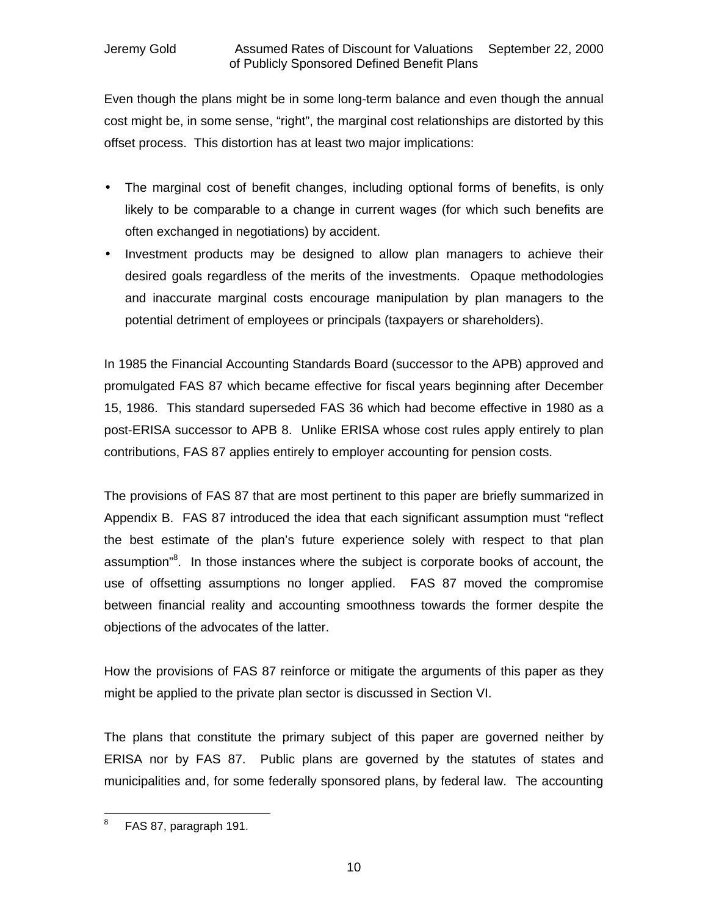Even though the plans might be in some long-term balance and even though the annual cost might be, in some sense, "right", the marginal cost relationships are distorted by this offset process. This distortion has at least two major implications:

- The marginal cost of benefit changes, including optional forms of benefits, is only likely to be comparable to a change in current wages (for which such benefits are often exchanged in negotiations) by accident.
- Investment products may be designed to allow plan managers to achieve their desired goals regardless of the merits of the investments. Opaque methodologies and inaccurate marginal costs encourage manipulation by plan managers to the potential detriment of employees or principals (taxpayers or shareholders).

In 1985 the Financial Accounting Standards Board (successor to the APB) approved and promulgated FAS 87 which became effective for fiscal years beginning after December 15, 1986. This standard superseded FAS 36 which had become effective in 1980 as a post-ERISA successor to APB 8. Unlike ERISA whose cost rules apply entirely to plan contributions, FAS 87 applies entirely to employer accounting for pension costs.

The provisions of FAS 87 that are most pertinent to this paper are briefly summarized in Appendix B. FAS 87 introduced the idea that each significant assumption must "reflect the best estimate of the plan's future experience solely with respect to that plan assumption"<sup>8</sup>. In those instances where the subject is corporate books of account, the use of offsetting assumptions no longer applied. FAS 87 moved the compromise between financial reality and accounting smoothness towards the former despite the objections of the advocates of the latter.

How the provisions of FAS 87 reinforce or mitigate the arguments of this paper as they might be applied to the private plan sector is discussed in Section VI.

The plans that constitute the primary subject of this paper are governed neither by ERISA nor by FAS 87. Public plans are governed by the statutes of states and municipalities and, for some federally sponsored plans, by federal law. The accounting

<sup>-&</sup>lt;br>8 FAS 87, paragraph 191.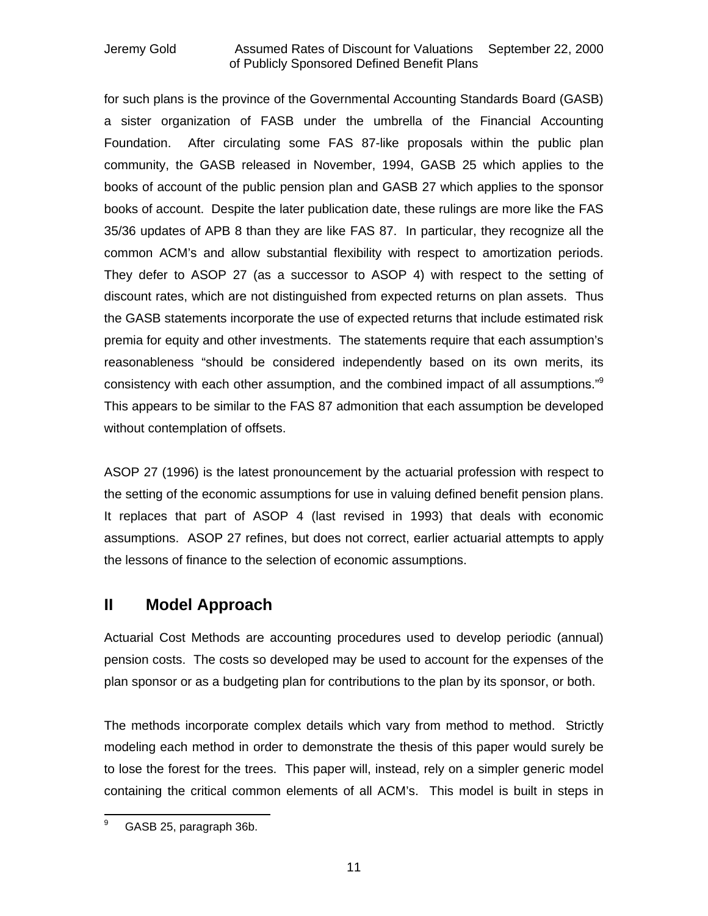for such plans is the province of the Governmental Accounting Standards Board (GASB) a sister organization of FASB under the umbrella of the Financial Accounting Foundation. After circulating some FAS 87-like proposals within the public plan community, the GASB released in November, 1994, GASB 25 which applies to the books of account of the public pension plan and GASB 27 which applies to the sponsor books of account. Despite the later publication date, these rulings are more like the FAS 35/36 updates of APB 8 than they are like FAS 87. In particular, they recognize all the common ACM's and allow substantial flexibility with respect to amortization periods. They defer to ASOP 27 (as a successor to ASOP 4) with respect to the setting of discount rates, which are not distinguished from expected returns on plan assets. Thus the GASB statements incorporate the use of expected returns that include estimated risk premia for equity and other investments. The statements require that each assumption's reasonableness "should be considered independently based on its own merits, its consistency with each other assumption, and the combined impact of all assumptions."<sup>9</sup> This appears to be similar to the FAS 87 admonition that each assumption be developed without contemplation of offsets.

ASOP 27 (1996) is the latest pronouncement by the actuarial profession with respect to the setting of the economic assumptions for use in valuing defined benefit pension plans. It replaces that part of ASOP 4 (last revised in 1993) that deals with economic assumptions. ASOP 27 refines, but does not correct, earlier actuarial attempts to apply the lessons of finance to the selection of economic assumptions.

### **II Model Approach**

Actuarial Cost Methods are accounting procedures used to develop periodic (annual) pension costs. The costs so developed may be used to account for the expenses of the plan sponsor or as a budgeting plan for contributions to the plan by its sponsor, or both.

The methods incorporate complex details which vary from method to method. Strictly modeling each method in order to demonstrate the thesis of this paper would surely be to lose the forest for the trees. This paper will, instead, rely on a simpler generic model containing the critical common elements of all ACM's. This model is built in steps in

<sup>9</sup> GASB 25, paragraph 36b.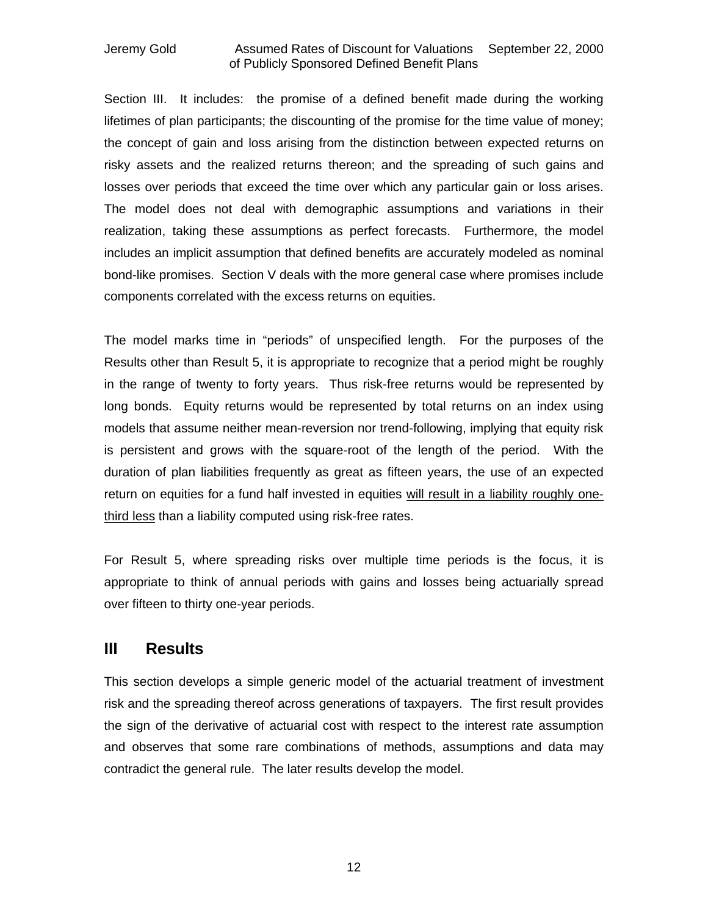Section III. It includes: the promise of a defined benefit made during the working lifetimes of plan participants; the discounting of the promise for the time value of money; the concept of gain and loss arising from the distinction between expected returns on risky assets and the realized returns thereon; and the spreading of such gains and losses over periods that exceed the time over which any particular gain or loss arises. The model does not deal with demographic assumptions and variations in their realization, taking these assumptions as perfect forecasts. Furthermore, the model includes an implicit assumption that defined benefits are accurately modeled as nominal bond-like promises. Section V deals with the more general case where promises include components correlated with the excess returns on equities.

The model marks time in "periods" of unspecified length. For the purposes of the Results other than Result 5, it is appropriate to recognize that a period might be roughly in the range of twenty to forty years. Thus risk-free returns would be represented by long bonds. Equity returns would be represented by total returns on an index using models that assume neither mean-reversion nor trend-following, implying that equity risk is persistent and grows with the square-root of the length of the period. With the duration of plan liabilities frequently as great as fifteen years, the use of an expected return on equities for a fund half invested in equities will result in a liability roughly onethird less than a liability computed using risk-free rates.

For Result 5, where spreading risks over multiple time periods is the focus, it is appropriate to think of annual periods with gains and losses being actuarially spread over fifteen to thirty one-year periods.

### **III Results**

This section develops a simple generic model of the actuarial treatment of investment risk and the spreading thereof across generations of taxpayers. The first result provides the sign of the derivative of actuarial cost with respect to the interest rate assumption and observes that some rare combinations of methods, assumptions and data may contradict the general rule. The later results develop the model.

12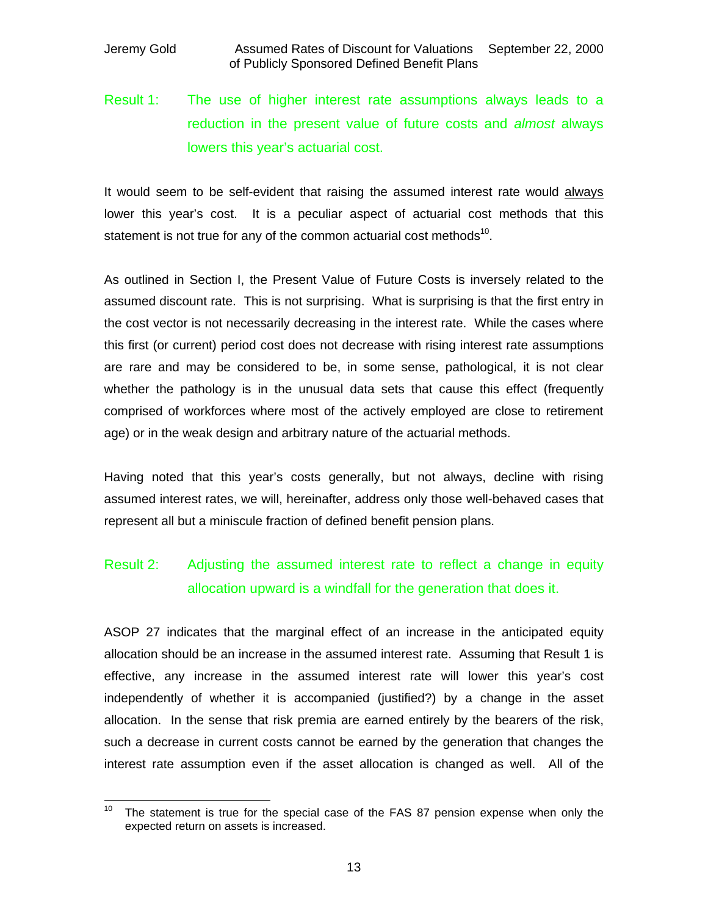# Result 1: The use of higher interest rate assumptions always leads to a reduction in the present value of future costs and *almost* always lowers this year's actuarial cost.

It would seem to be self-evident that raising the assumed interest rate would always lower this year's cost. It is a peculiar aspect of actuarial cost methods that this statement is not true for any of the common actuarial cost methods<sup>10</sup>.

As outlined in Section I, the Present Value of Future Costs is inversely related to the assumed discount rate. This is not surprising. What is surprising is that the first entry in the cost vector is not necessarily decreasing in the interest rate. While the cases where this first (or current) period cost does not decrease with rising interest rate assumptions are rare and may be considered to be, in some sense, pathological, it is not clear whether the pathology is in the unusual data sets that cause this effect (frequently comprised of workforces where most of the actively employed are close to retirement age) or in the weak design and arbitrary nature of the actuarial methods.

Having noted that this year's costs generally, but not always, decline with rising assumed interest rates, we will, hereinafter, address only those well-behaved cases that represent all but a miniscule fraction of defined benefit pension plans.

## Result 2: Adjusting the assumed interest rate to reflect a change in equity allocation upward is a windfall for the generation that does it.

ASOP 27 indicates that the marginal effect of an increase in the anticipated equity allocation should be an increase in the assumed interest rate. Assuming that Result 1 is effective, any increase in the assumed interest rate will lower this year's cost independently of whether it is accompanied (justified?) by a change in the asset allocation. In the sense that risk premia are earned entirely by the bearers of the risk, such a decrease in current costs cannot be earned by the generation that changes the interest rate assumption even if the asset allocation is changed as well. All of the

 $10$ The statement is true for the special case of the FAS 87 pension expense when only the expected return on assets is increased.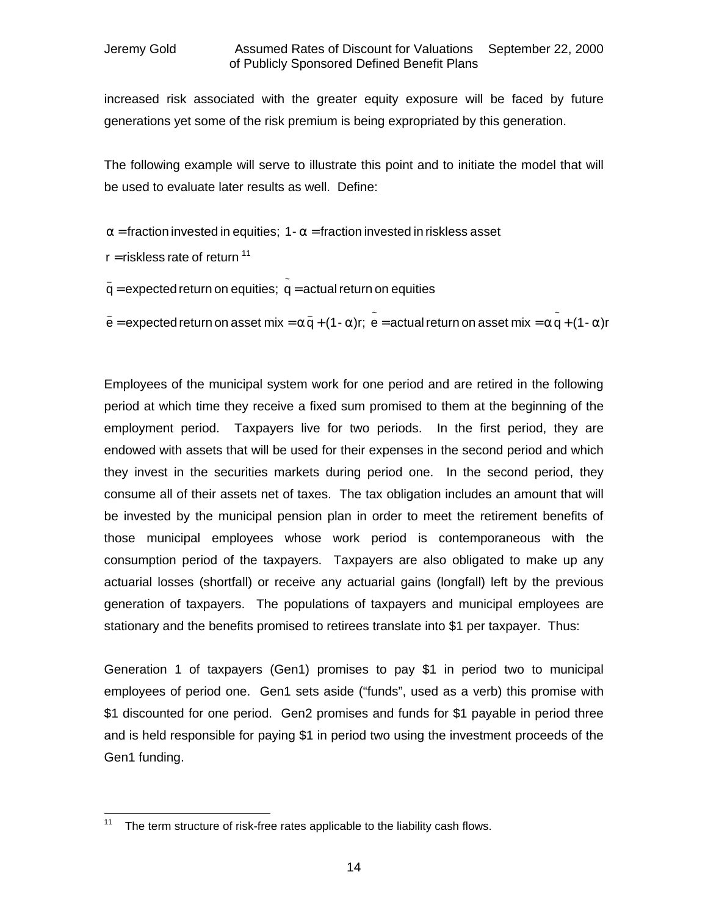increased risk associated with the greater equity exposure will be faced by future generations yet some of the risk premium is being expropriated by this generation.

The following example will serve to illustrate this point and to initiate the model that will be used to evaluate later results as well. Define:

**a** = fraction invested in equities; 1- **a** = fraction invested in riskless asset

 $r =$  riskless rate of return  $11$ 

 $\mathbf{\bar{q}}$  = expected return on equities;  $\mathbf{\bar{\hat{q}}}$  = actual return on equities

 $\mathbf{\tilde{e}} = \mathsf{expected}\ \mathsf{return}\ \mathsf{on}\ \mathsf{asset}\ \mathsf{mix} = \mathbf{a}\ \mathsf{\bar{q}} + (1\cdot \mathbf{a})\mathsf{r}; \ \ \mathsf{\tilde{e}} = \mathsf{actual}\ \mathsf{return}\ \mathsf{on}\ \mathsf{asset}\ \mathsf{mix} = \mathbf{a}\ \mathsf{\tilde{q}} + (1\cdot \mathbf{a})\mathsf{r}$ 

Employees of the municipal system work for one period and are retired in the following period at which time they receive a fixed sum promised to them at the beginning of the employment period. Taxpayers live for two periods. In the first period, they are endowed with assets that will be used for their expenses in the second period and which they invest in the securities markets during period one. In the second period, they consume all of their assets net of taxes. The tax obligation includes an amount that will be invested by the municipal pension plan in order to meet the retirement benefits of those municipal employees whose work period is contemporaneous with the consumption period of the taxpayers. Taxpayers are also obligated to make up any actuarial losses (shortfall) or receive any actuarial gains (longfall) left by the previous generation of taxpayers. The populations of taxpayers and municipal employees are stationary and the benefits promised to retirees translate into \$1 per taxpayer. Thus:

Generation 1 of taxpayers (Gen1) promises to pay \$1 in period two to municipal employees of period one. Gen1 sets aside ("funds", used as a verb) this promise with \$1 discounted for one period. Gen2 promises and funds for \$1 payable in period three and is held responsible for paying \$1 in period two using the investment proceeds of the Gen1 funding.

  $11$  The term structure of risk-free rates applicable to the liability cash flows.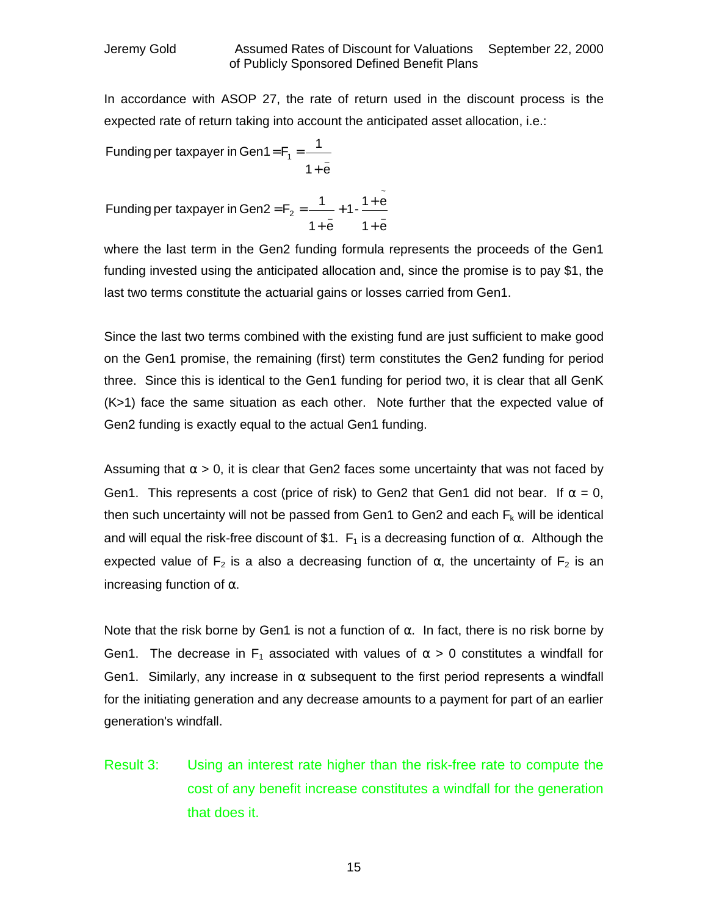In accordance with ASOP 27, the rate of return used in the discount process is the expected rate of return taking into account the anticipated asset allocation, i.e.:

Funding per taxpayer in Gen1 = 
$$
F_1 = \frac{1}{1 + \bar{e}}
$$

\_ ~  $2 - \frac{1}{2}$  $1 + e$  $1 - \frac{1 + e}{1}$  $1 + e$ Funding per taxpayer in Gen2 =  $F_2 = \frac{1}{100}$ +  $+1 - \frac{1}{1}$ +  $=F<sub>2</sub>$  =

where the last term in the Gen2 funding formula represents the proceeds of the Gen1 funding invested using the anticipated allocation and, since the promise is to pay \$1, the last two terms constitute the actuarial gains or losses carried from Gen1.

Since the last two terms combined with the existing fund are just sufficient to make good on the Gen1 promise, the remaining (first) term constitutes the Gen2 funding for period three. Since this is identical to the Gen1 funding for period two, it is clear that all GenK (K>1) face the same situation as each other. Note further that the expected value of Gen2 funding is exactly equal to the actual Gen1 funding.

Assuming that  $\alpha > 0$ , it is clear that Gen2 faces some uncertainty that was not faced by Gen1. This represents a cost (price of risk) to Gen2 that Gen1 did not bear. If  $\alpha = 0$ , then such uncertainty will not be passed from Gen1 to Gen2 and each  $F_k$  will be identical and will equal the risk-free discount of \$1.  $F_1$  is a decreasing function of  $\alpha$ . Although the expected value of  $F_2$  is a also a decreasing function of  $\alpha$ , the uncertainty of  $F_2$  is an increasing function of  $\alpha$ .

Note that the risk borne by Gen1 is not a function of  $\alpha$ . In fact, there is no risk borne by Gen1. The decrease in F<sub>1</sub> associated with values of  $\alpha > 0$  constitutes a windfall for Gen1. Similarly, any increase in  $\alpha$  subsequent to the first period represents a windfall for the initiating generation and any decrease amounts to a payment for part of an earlier generation's windfall.

Result 3: Using an interest rate higher than the risk-free rate to compute the cost of any benefit increase constitutes a windfall for the generation that does it.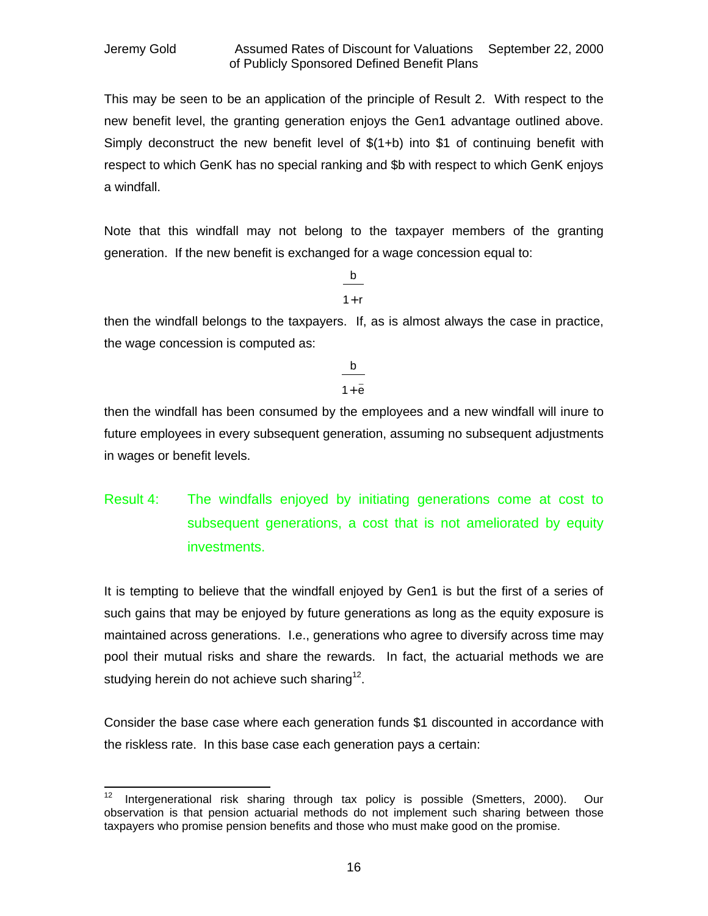This may be seen to be an application of the principle of Result 2. With respect to the new benefit level, the granting generation enjoys the Gen1 advantage outlined above. Simply deconstruct the new benefit level of \$(1+b) into \$1 of continuing benefit with respect to which GenK has no special ranking and \$b with respect to which GenK enjoys a windfall.

Note that this windfall may not belong to the taxpayer members of the granting generation. If the new benefit is exchanged for a wage concession equal to:

> $1 + r$ b

then the windfall belongs to the taxpayers. If, as is almost always the case in practice, the wage concession is computed as:

$$
\frac{b}{1+\bar{e}}
$$

then the windfall has been consumed by the employees and a new windfall will inure to future employees in every subsequent generation, assuming no subsequent adjustments in wages or benefit levels.

Result 4: The windfalls enjoyed by initiating generations come at cost to subsequent generations, a cost that is not ameliorated by equity investments.

It is tempting to believe that the windfall enjoyed by Gen1 is but the first of a series of such gains that may be enjoyed by future generations as long as the equity exposure is maintained across generations. I.e., generations who agree to diversify across time may pool their mutual risks and share the rewards. In fact, the actuarial methods we are studying herein do not achieve such sharing<sup>12</sup>.

Consider the base case where each generation funds \$1 discounted in accordance with the riskless rate. In this base case each generation pays a certain:

 $12$ Intergenerational risk sharing through tax policy is possible (Smetters, 2000). Our observation is that pension actuarial methods do not implement such sharing between those taxpayers who promise pension benefits and those who must make good on the promise.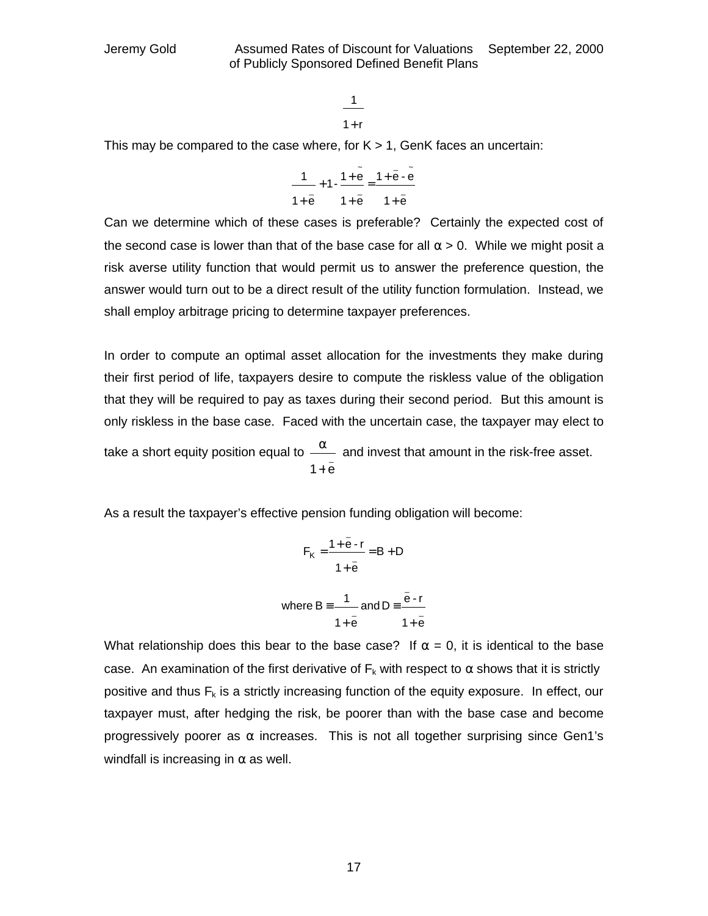$$
\frac{1}{1+r}
$$

This may be compared to the case where, for  $K > 1$ , GenK faces an uncertain:

$$
\frac{1}{1+\bar{e}}+1-\frac{1+\bar{e}}{1+\bar{e}}=\frac{1+\bar{e}\cdot\tilde{e}}{1+\bar{e}}
$$

Can we determine which of these cases is preferable? Certainly the expected cost of the second case is lower than that of the base case for all  $\alpha > 0$ . While we might posit a risk averse utility function that would permit us to answer the preference question, the answer would turn out to be a direct result of the utility function formulation. Instead, we shall employ arbitrage pricing to determine taxpayer preferences.

In order to compute an optimal asset allocation for the investments they make during their first period of life, taxpayers desire to compute the riskless value of the obligation that they will be required to pay as taxes during their second period. But this amount is only riskless in the base case. Faced with the uncertain case, the taxpayer may elect to take a short equity position equal to  $\frac{4}{1+\bar{e}}$ **a** and invest that amount in the risk-free asset.

As a result the taxpayer's effective pension funding obligation will become:

$$
F_{K} = \frac{1 + e - r}{1 + \bar{e}} = B + D
$$
  
where  $B = \frac{1}{1 + \bar{e}}$  and  $D = \frac{\bar{e} - r}{1 + \bar{e}}$ 

\_

What relationship does this bear to the base case? If  $\alpha = 0$ , it is identical to the base case. An examination of the first derivative of  $F_k$  with respect to  $\alpha$  shows that it is strictly positive and thus  $F_k$  is a strictly increasing function of the equity exposure. In effect, our taxpayer must, after hedging the risk, be poorer than with the base case and become progressively poorer as  $\alpha$  increases. This is not all together surprising since Gen1's windfall is increasing in  $\alpha$  as well.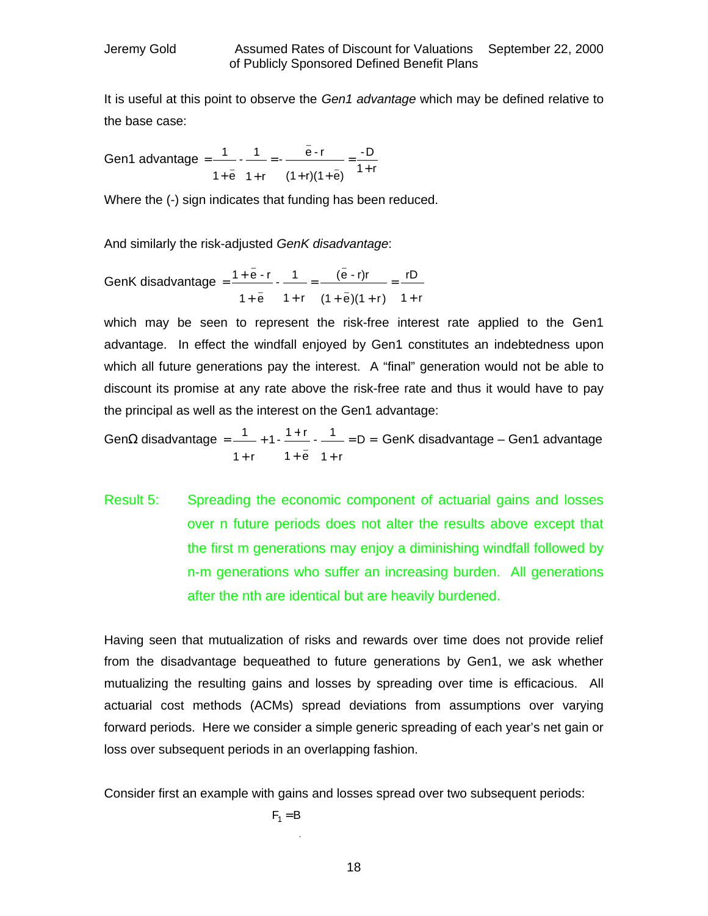It is useful at this point to observe the *Gen1 advantage* which may be defined relative to the base case:

Gen1 advantage =  $\frac{1}{4}$   $\frac{1}{2}$   $\frac{1}{4}$  =  $\frac{1}{4}$  =  $\frac{1}{4}$  =  $\frac{1}{4}$  =  $\frac{1}{4}$  =  $\frac{1}{4}$  =  $\frac{1}{4}$  =  $\frac{1}{4}$  =  $\frac{1}{4}$  =  $\frac{1}{4}$  =  $\frac{1}{4}$  =  $\frac{1}{4}$  =  $\frac{1}{4}$  =  $\frac{1}{4}$  =  $\frac{1}{4}$  =  $\frac{$ -D  $(1 + r)(1 + e)$ - <u>e - r</u>  $1 + r$  $-1$  $1 + e$ 1 \_  $-$  +  $-$  = =  $\frac{6}{1}$  +  $\frac{1}{2}$  =  $\frac{1}{1}$  $+ (1 +$ =  $+ e \t1+$ =

Where the (-) sign indicates that funding has been reduced.

\_

And similarly the risk-adjusted *GenK disadvantage*:

GenK disadvantage =  $\frac{1+e^{-1}}{2}$  -  $\frac{1}{2}$  =  $\frac{1}{2}$ \_ \_ \_  $1 + r$ rD  $(1 + e)(1 + r)$ (e - r)r  $1 + r$  $-1$  $1 + e$  $1 + e - r$ + =  $+ e)(1 +$ =  $+ \overline{e}$  1+  $=\frac{1+}{1}$ 

which may be seen to represent the risk-free interest rate applied to the Gen1 advantage. In effect the windfall enjoyed by Gen1 constitutes an indebtedness upon which all future generations pay the interest. A "final" generation would not be able to discount its promise at any rate above the risk-free rate and thus it would have to pay the principal as well as the interest on the Gen1 advantage:

Gen $\Omega$  disadvantage =  $\frac{1}{2}$  + 1 -  $\frac{1}{2}$  -  $\frac{1}{2}$  = D  $1 + r$  $-1$  $1 + e$ 1 -  $\frac{1+r}{1-r}$  $1 + r$ 1 \_\_\_\_\_\_\_\_ = D =<br>\_  $+ e 1 +$  $+1 - \frac{1+}{1}$ + = GenK disadvantage – Gen1 advantage

Result 5: Spreading the economic component of actuarial gains and losses over n future periods does not alter the results above except that the first m generations may enjoy a diminishing windfall followed by n-m generations who suffer an increasing burden. All generations after the nth are identical but are heavily burdened.

Having seen that mutualization of risks and rewards over time does not provide relief from the disadvantage bequeathed to future generations by Gen1, we ask whether mutualizing the resulting gains and losses by spreading over time is efficacious. All actuarial cost methods (ACMs) spread deviations from assumptions over varying forward periods. Here we consider a simple generic spreading of each year's net gain or loss over subsequent periods in an overlapping fashion.

Consider first an example with gains and losses spread over two subsequent periods:

$$
F_1 = B
$$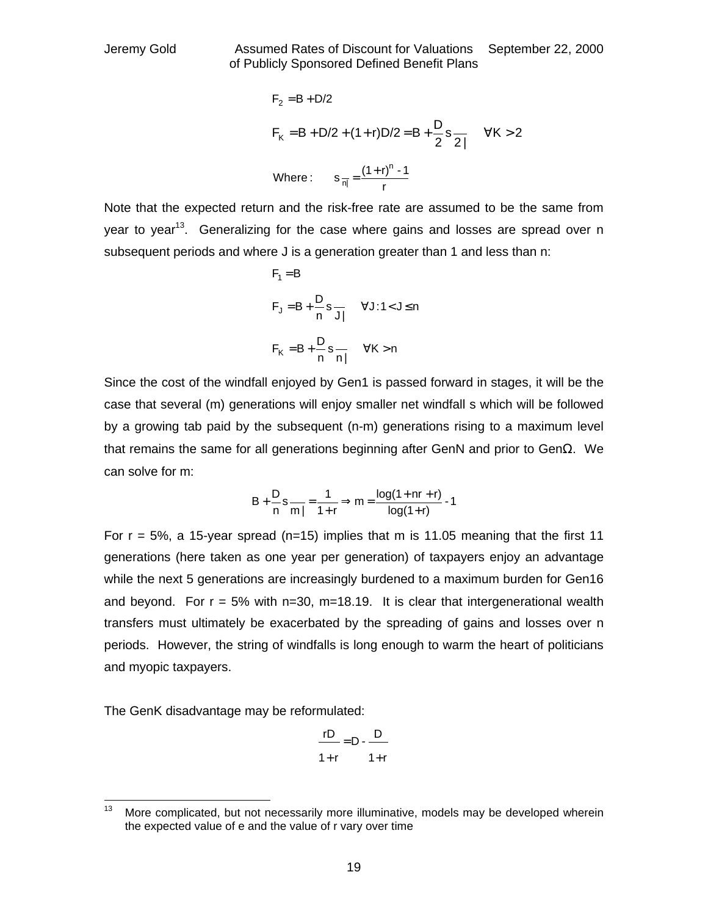$$
F_2 = B + D/2
$$
  
\n $F_K = B + D/2 + (1+r)D/2 = B + \frac{D}{2}s_{\frac{1}{2}}$   $\forall K > 2$   
\nWhere:  $s_{\frac{1}{10}} = \frac{(1+r)^n - 1}{r}$ 

Note that the expected return and the risk-free rate are assumed to be the same from vear to vear<sup>13</sup>. Generalizing for the case where gains and losses are spread over n subsequent periods and where J is a generation greater than 1 and less than n:

$$
F_1 = B
$$
  
\n
$$
F_J = B + \frac{D}{n} s \frac{\forall J : 1 < J \le n}
$$
  
\n
$$
F_K = B + \frac{D}{n} s \frac{\forall K > n}
$$

Since the cost of the windfall enjoyed by Gen1 is passed forward in stages, it will be the case that several (m) generations will enjoy smaller net windfall s which will be followed by a growing tab paid by the subsequent (n-m) generations rising to a maximum level that remains the same for all generations beginning after GenN and prior to Gen $\Omega$ . We can solve for m:

$$
B + \frac{D}{n} s \frac{1}{m} = \frac{1}{1+r} \Rightarrow m = \frac{\log(1 + nr + r)}{\log(1+r)} - 1
$$

For  $r = 5\%$ , a 15-year spread (n=15) implies that m is 11.05 meaning that the first 11 generations (here taken as one year per generation) of taxpayers enjoy an advantage while the next 5 generations are increasingly burdened to a maximum burden for Gen16 and beyond. For  $r = 5\%$  with  $n=30$ ,  $m=18.19$ . It is clear that intergenerational wealth transfers must ultimately be exacerbated by the spreading of gains and losses over n periods. However, the string of windfalls is long enough to warm the heart of politicians and myopic taxpayers.

The GenK disadvantage may be reformulated:

$$
\frac{rD}{1+r} = D - \frac{D}{1+r}
$$

<sup>13</sup> More complicated, but not necessarily more illuminative, models may be developed wherein the expected value of e and the value of r vary over time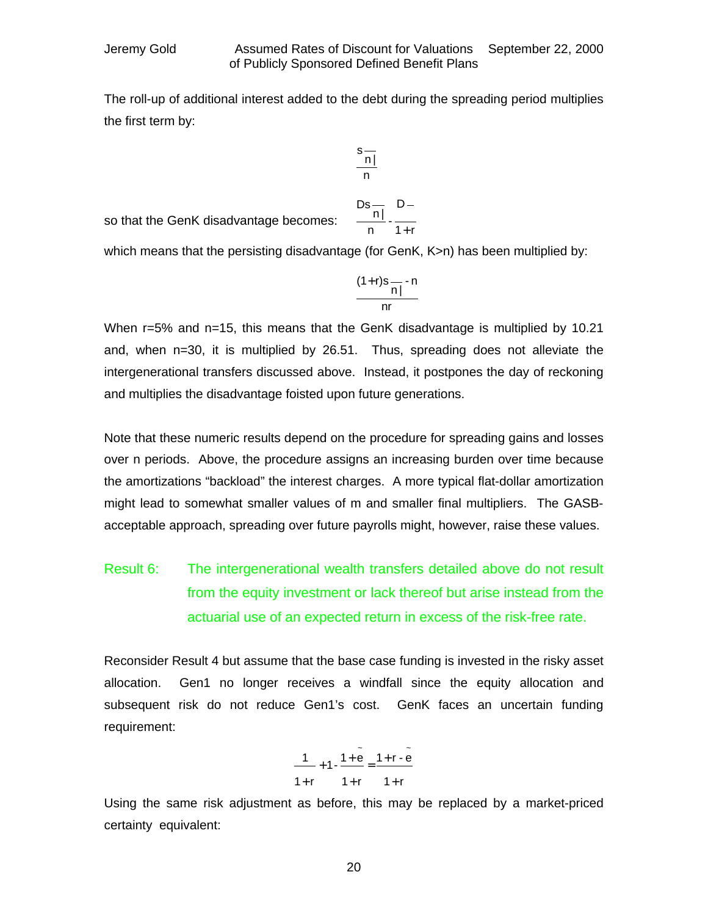The roll-up of additional interest added to the debt during the spreading period multiplies the first term by:

$$
\frac{s}{\frac{n|}{n}}
$$

so that the GenK disadvantage becomes:

$$
\frac{Ds\frac{1}{n!}}{n} \cdot \frac{D-1}{1+r}
$$

which means that the persisting disadvantage (for GenK, K>n) has been multiplied by:

$$
\frac{(1+r)s - n}{n!}
$$

When r=5% and n=15, this means that the GenK disadvantage is multiplied by 10.21 and, when n=30, it is multiplied by 26.51. Thus, spreading does not alleviate the intergenerational transfers discussed above. Instead, it postpones the day of reckoning and multiplies the disadvantage foisted upon future generations.

Note that these numeric results depend on the procedure for spreading gains and losses over n periods. Above, the procedure assigns an increasing burden over time because the amortizations "backload" the interest charges. A more typical flat-dollar amortization might lead to somewhat smaller values of m and smaller final multipliers. The GASBacceptable approach, spreading over future payrolls might, however, raise these values.

## Result 6: The intergenerational wealth transfers detailed above do not result from the equity investment or lack thereof but arise instead from the actuarial use of an expected return in excess of the risk-free rate.

Reconsider Result 4 but assume that the base case funding is invested in the risky asset allocation. Gen1 no longer receives a windfall since the equity allocation and subsequent risk do not reduce Gen1's cost. GenK faces an uncertain funding requirement:

$$
\frac{1}{1+r} + 1 \cdot \frac{1+\widetilde{e}}{1+r} = \frac{1+r-\widetilde{e}}{1+r}
$$

Using the same risk adjustment as before, this may be replaced by a market-priced certainty equivalent: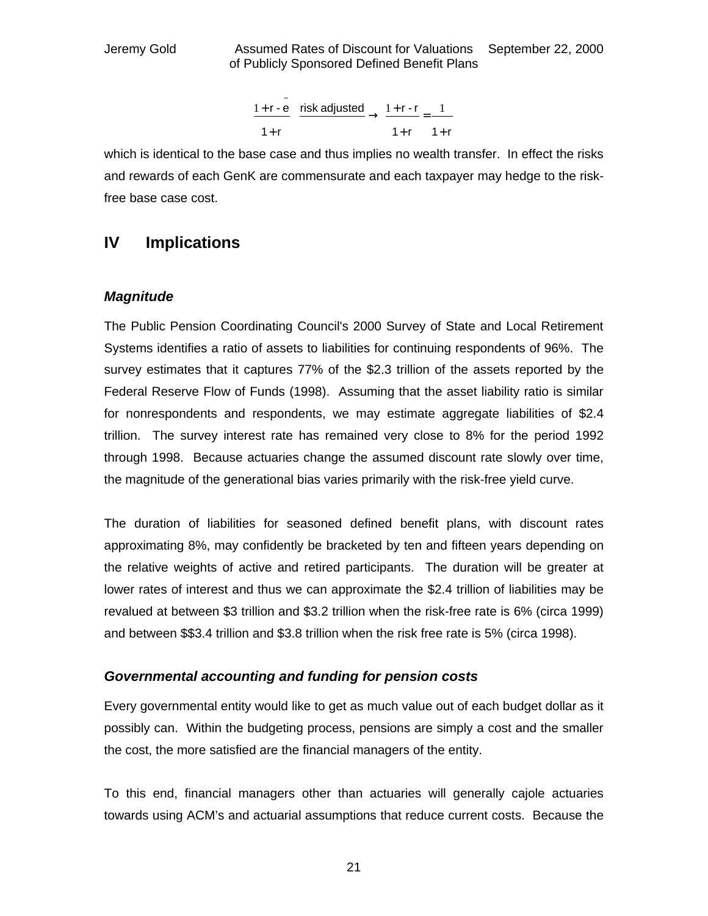$$
\frac{1+r-\tilde{e}}{1+r} \xrightarrow{risk \text{ adjusted}} \rightarrow \frac{1+r-r}{1+r} = \frac{1}{1+r}
$$

which is identical to the base case and thus implies no wealth transfer. In effect the risks and rewards of each GenK are commensurate and each taxpayer may hedge to the riskfree base case cost.

### **IV Implications**

### *Magnitude*

The Public Pension Coordinating Council's 2000 Survey of State and Local Retirement Systems identifies a ratio of assets to liabilities for continuing respondents of 96%. The survey estimates that it captures 77% of the \$2.3 trillion of the assets reported by the Federal Reserve Flow of Funds (1998). Assuming that the asset liability ratio is similar for nonrespondents and respondents, we may estimate aggregate liabilities of \$2.4 trillion. The survey interest rate has remained very close to 8% for the period 1992 through 1998. Because actuaries change the assumed discount rate slowly over time, the magnitude of the generational bias varies primarily with the risk-free yield curve.

The duration of liabilities for seasoned defined benefit plans, with discount rates approximating 8%, may confidently be bracketed by ten and fifteen years depending on the relative weights of active and retired participants. The duration will be greater at lower rates of interest and thus we can approximate the \$2.4 trillion of liabilities may be revalued at between \$3 trillion and \$3.2 trillion when the risk-free rate is 6% (circa 1999) and between \$\$3.4 trillion and \$3.8 trillion when the risk free rate is 5% (circa 1998).

### *Governmental accounting and funding for pension costs*

Every governmental entity would like to get as much value out of each budget dollar as it possibly can. Within the budgeting process, pensions are simply a cost and the smaller the cost, the more satisfied are the financial managers of the entity.

To this end, financial managers other than actuaries will generally cajole actuaries towards using ACM's and actuarial assumptions that reduce current costs. Because the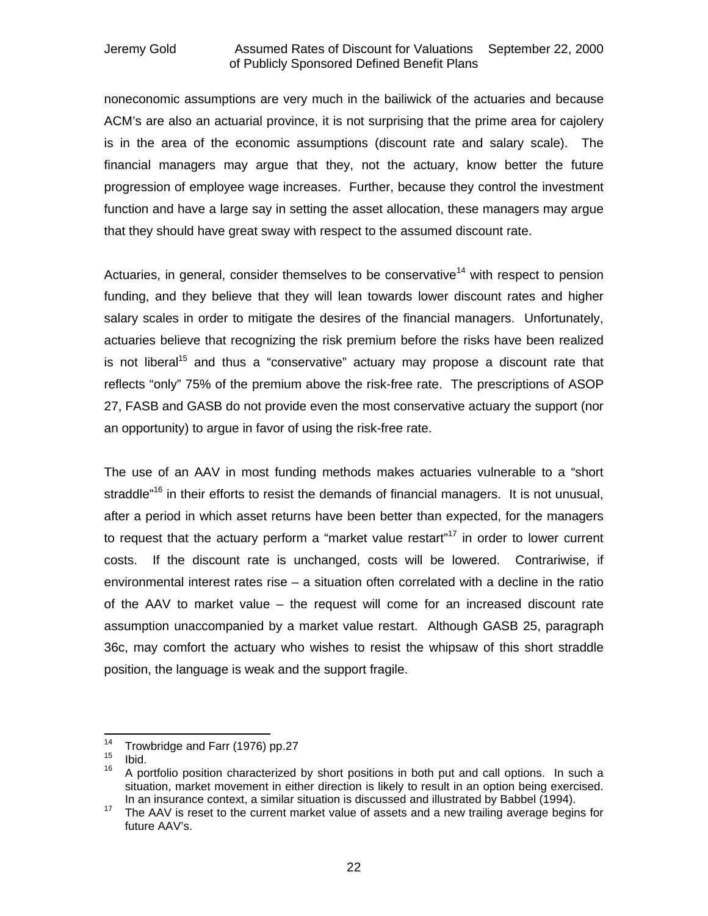noneconomic assumptions are very much in the bailiwick of the actuaries and because ACM's are also an actuarial province, it is not surprising that the prime area for cajolery is in the area of the economic assumptions (discount rate and salary scale). The financial managers may argue that they, not the actuary, know better the future progression of employee wage increases. Further, because they control the investment function and have a large say in setting the asset allocation, these managers may argue that they should have great sway with respect to the assumed discount rate.

Actuaries, in general, consider themselves to be conservative<sup>14</sup> with respect to pension funding, and they believe that they will lean towards lower discount rates and higher salary scales in order to mitigate the desires of the financial managers. Unfortunately, actuaries believe that recognizing the risk premium before the risks have been realized is not liberal<sup>15</sup> and thus a "conservative" actuary may propose a discount rate that reflects "only" 75% of the premium above the risk-free rate. The prescriptions of ASOP 27, FASB and GASB do not provide even the most conservative actuary the support (nor an opportunity) to argue in favor of using the risk-free rate.

The use of an AAV in most funding methods makes actuaries vulnerable to a "short straddle<sup>"16</sup> in their efforts to resist the demands of financial managers. It is not unusual, after a period in which asset returns have been better than expected, for the managers to request that the actuary perform a "market value restart"<sup>17</sup> in order to lower current costs. If the discount rate is unchanged, costs will be lowered. Contrariwise, if environmental interest rates rise – a situation often correlated with a decline in the ratio of the AAV to market value – the request will come for an increased discount rate assumption unaccompanied by a market value restart. Although GASB 25, paragraph 36c, may comfort the actuary who wishes to resist the whipsaw of this short straddle position, the language is weak and the support fragile.

 $14$  $14$  Trowbridge and Farr (1976) pp.27

 $\frac{15}{16}$  Ibid.

<sup>16</sup> A portfolio position characterized by short positions in both put and call options. In such a situation, market movement in either direction is likely to result in an option being exercised. In an insurance context, a similar situation is discussed and illustrated by Babbel (1994).

<sup>&</sup>lt;sup>17</sup> The AAV is reset to the current market value of assets and a new trailing average begins for future AAV's.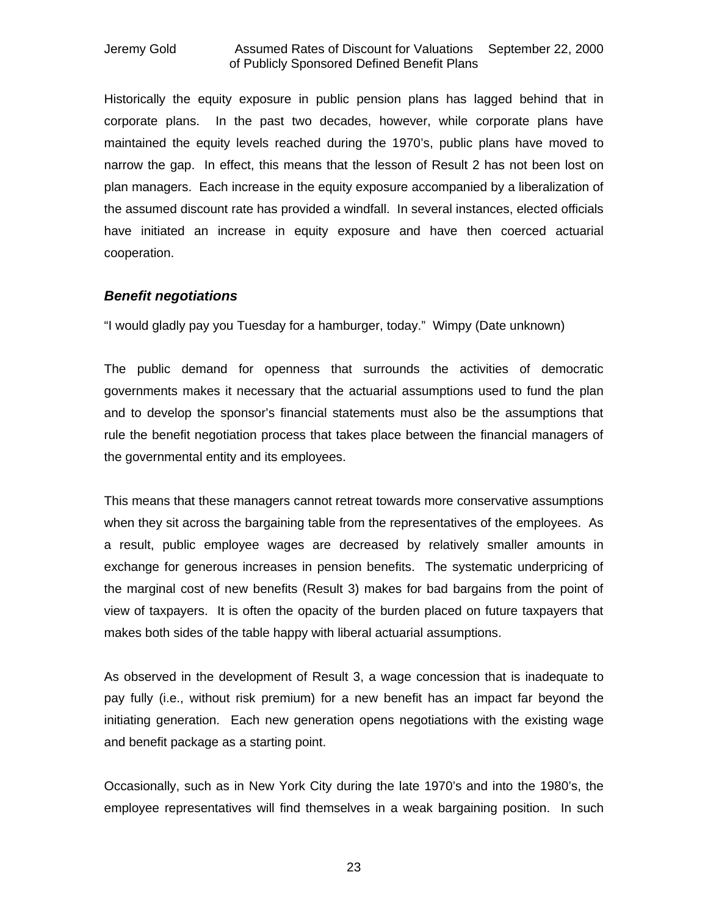Historically the equity exposure in public pension plans has lagged behind that in corporate plans. In the past two decades, however, while corporate plans have maintained the equity levels reached during the 1970's, public plans have moved to narrow the gap. In effect, this means that the lesson of Result 2 has not been lost on plan managers. Each increase in the equity exposure accompanied by a liberalization of the assumed discount rate has provided a windfall. In several instances, elected officials have initiated an increase in equity exposure and have then coerced actuarial cooperation.

### *Benefit negotiations*

"I would gladly pay you Tuesday for a hamburger, today." Wimpy (Date unknown)

The public demand for openness that surrounds the activities of democratic governments makes it necessary that the actuarial assumptions used to fund the plan and to develop the sponsor's financial statements must also be the assumptions that rule the benefit negotiation process that takes place between the financial managers of the governmental entity and its employees.

This means that these managers cannot retreat towards more conservative assumptions when they sit across the bargaining table from the representatives of the employees. As a result, public employee wages are decreased by relatively smaller amounts in exchange for generous increases in pension benefits. The systematic underpricing of the marginal cost of new benefits (Result 3) makes for bad bargains from the point of view of taxpayers. It is often the opacity of the burden placed on future taxpayers that makes both sides of the table happy with liberal actuarial assumptions.

As observed in the development of Result 3, a wage concession that is inadequate to pay fully (i.e., without risk premium) for a new benefit has an impact far beyond the initiating generation. Each new generation opens negotiations with the existing wage and benefit package as a starting point.

Occasionally, such as in New York City during the late 1970's and into the 1980's, the employee representatives will find themselves in a weak bargaining position. In such

23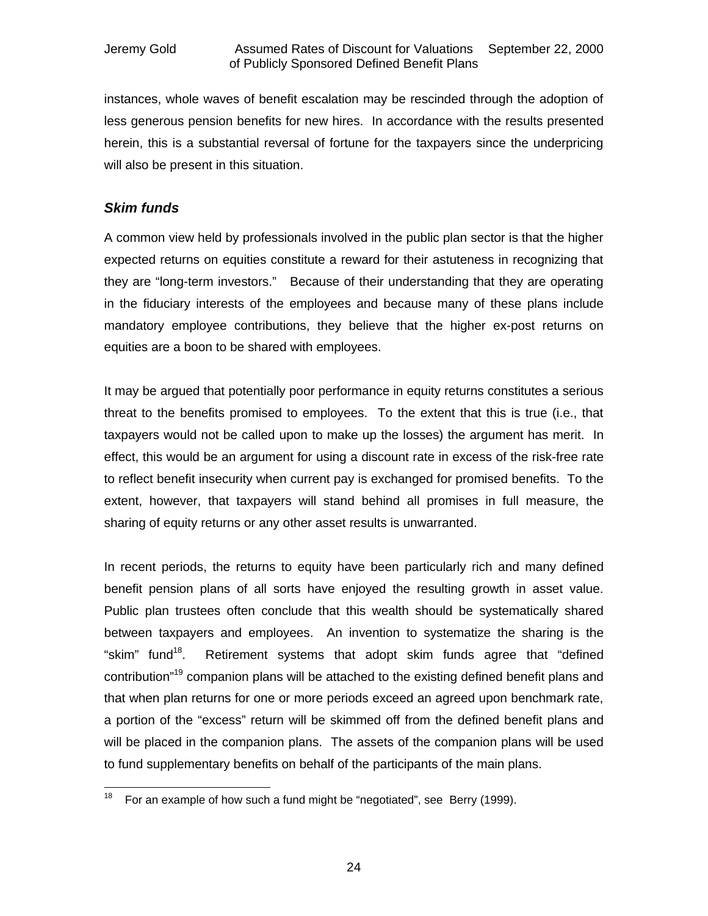instances, whole waves of benefit escalation may be rescinded through the adoption of less generous pension benefits for new hires. In accordance with the results presented herein, this is a substantial reversal of fortune for the taxpayers since the underpricing will also be present in this situation.

### *Skim funds*

A common view held by professionals involved in the public plan sector is that the higher expected returns on equities constitute a reward for their astuteness in recognizing that they are "long-term investors." Because of their understanding that they are operating in the fiduciary interests of the employees and because many of these plans include mandatory employee contributions, they believe that the higher ex-post returns on equities are a boon to be shared with employees.

It may be argued that potentially poor performance in equity returns constitutes a serious threat to the benefits promised to employees. To the extent that this is true (i.e., that taxpayers would not be called upon to make up the losses) the argument has merit. In effect, this would be an argument for using a discount rate in excess of the risk-free rate to reflect benefit insecurity when current pay is exchanged for promised benefits. To the extent, however, that taxpayers will stand behind all promises in full measure, the sharing of equity returns or any other asset results is unwarranted.

In recent periods, the returns to equity have been particularly rich and many defined benefit pension plans of all sorts have enjoyed the resulting growth in asset value. Public plan trustees often conclude that this wealth should be systematically shared between taxpayers and employees. An invention to systematize the sharing is the "skim" fund<sup>18</sup>. Retirement systems that adopt skim funds agree that "defined contribution<sup>"19</sup> companion plans will be attached to the existing defined benefit plans and that when plan returns for one or more periods exceed an agreed upon benchmark rate, a portion of the "excess" return will be skimmed off from the defined benefit plans and will be placed in the companion plans. The assets of the companion plans will be used to fund supplementary benefits on behalf of the participants of the main plans.

 $\overline{\phantom{a}}$ <sup>18</sup> For an example of how such a fund might be "negotiated", see Berry (1999).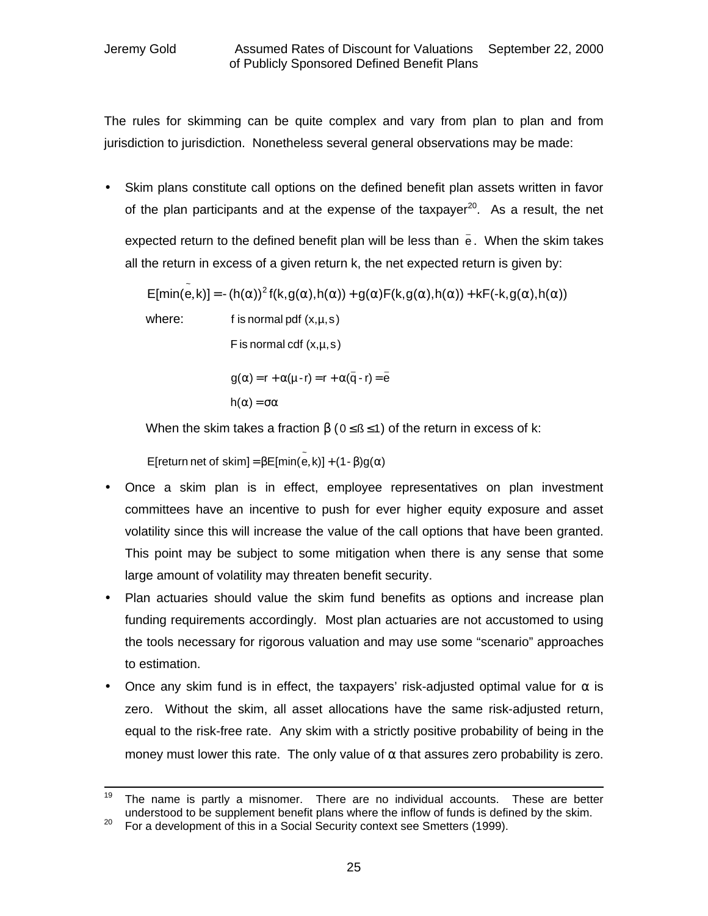The rules for skimming can be quite complex and vary from plan to plan and from jurisdiction to jurisdiction. Nonetheless several general observations may be made:

• Skim plans constitute call options on the defined benefit plan assets written in favor of the plan participants and at the expense of the taxpayer<sup>20</sup>. As a result, the net expected return to the defined benefit plan will be less than  $\bar{\mathsf{e}}$  . When the skim takes all the return in excess of a given return k, the net expected return is given by:

 $E[\text{min}(\tilde{\mathbf{e}}, \mathbf{k})] = -(h(\mathbf{a}))^2 f(\mathbf{k}, g(\mathbf{a}), h(\mathbf{a})) + g(\mathbf{a})F(\mathbf{k}, g(\mathbf{a}), h(\mathbf{a})) + \mathbf{k}F(\mathbf{-k}, g(\mathbf{a}), h(\mathbf{a}))$ 

where:  $\qquad \qquad$  f is normal pdf  $(x,\mu,s)$ 

F is normal cdf  $(x, \mu, s)$ 

$$
g(\alpha) = r + \alpha(\mu - r) = r + \alpha(\bar{q} - r) = \bar{e}
$$

$$
h(\alpha) = \sigma \alpha
$$

When the skim takes a fraction  $\beta$  (0 ≤ ß ≤ 1) of the return in excess of k:

 $\mathsf{E}[\mathsf{return} \, \mathsf{net} \, \mathsf{of} \, \mathsf{skim}] \! = \! \beta \mathsf{E}[\mathsf{min}(\overset{\sim}{{\mathsf{e}}}, {\mathsf{k}})] \! + \! (\mathsf{1} \text{-} \beta) \mathsf{g}(\alpha)$ 

- Once a skim plan is in effect, employee representatives on plan investment committees have an incentive to push for ever higher equity exposure and asset volatility since this will increase the value of the call options that have been granted. This point may be subject to some mitigation when there is any sense that some large amount of volatility may threaten benefit security.
- Plan actuaries should value the skim fund benefits as options and increase plan funding requirements accordingly. Most plan actuaries are not accustomed to using the tools necessary for rigorous valuation and may use some "scenario" approaches to estimation.
- Once any skim fund is in effect, the taxpayers' risk-adjusted optimal value for  $\alpha$  is zero. Without the skim, all asset allocations have the same risk-adjusted return, equal to the risk-free rate. Any skim with a strictly positive probability of being in the money must lower this rate. The only value of  $\alpha$  that assures zero probability is zero.

<sup>19</sup> The name is partly a misnomer. There are no individual accounts. These are better understood to be supplement benefit plans where the inflow of funds is defined by the skim.

<sup>&</sup>lt;sup>20</sup> For a development of this in a Social Security context see Smetters (1999).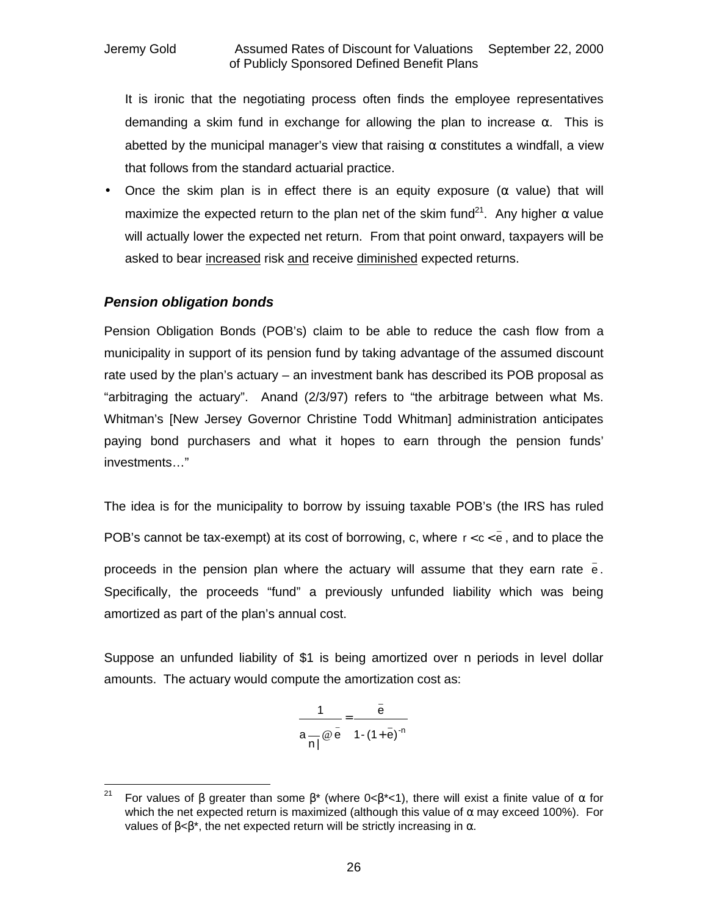It is ironic that the negotiating process often finds the employee representatives demanding a skim fund in exchange for allowing the plan to increase  $\alpha$ . This is abetted by the municipal manager's view that raising  $\alpha$  constitutes a windfall, a view that follows from the standard actuarial practice.

• Once the skim plan is in effect there is an equity exposure ( $\alpha$  value) that will maximize the expected return to the plan net of the skim fund<sup>21</sup>. Any higher  $\alpha$  value will actually lower the expected net return. From that point onward, taxpayers will be asked to bear increased risk and receive diminished expected returns.

### *Pension obligation bonds*

Pension Obligation Bonds (POB's) claim to be able to reduce the cash flow from a municipality in support of its pension fund by taking advantage of the assumed discount rate used by the plan's actuary – an investment bank has described its POB proposal as "arbitraging the actuary". Anand (2/3/97) refers to "the arbitrage between what Ms. Whitman's [New Jersey Governor Christine Todd Whitman] administration anticipates paying bond purchasers and what it hopes to earn through the pension funds' investments…"

The idea is for the municipality to borrow by issuing taxable POB's (the IRS has ruled POB's cannot be tax-exempt) at its cost of borrowing, c, where  $r < c < \bar{e}$  , and to place the proceeds in the pension plan where the actuary will assume that they earn rate  $\frac{1}{e}$ . Specifically, the proceeds "fund" a previously unfunded liability which was being amortized as part of the plan's annual cost.

Suppose an unfunded liability of \$1 is being amortized over n periods in level dollar amounts. The actuary would compute the amortization cost as:

$$
\frac{1}{a-\overline{\omega}\overline{e}}=\frac{\overline{e}}{1-(1+\overline{e})^{-n}}
$$

 $21$ For values of β greater than some  $\beta^*$  (where 0< $\beta^*$ <1), there will exist a finite value of α for which the net expected return is maximized (although this value of  $\alpha$  may exceed 100%). For values of  $\beta < \beta^*$ , the net expected return will be strictly increasing in α.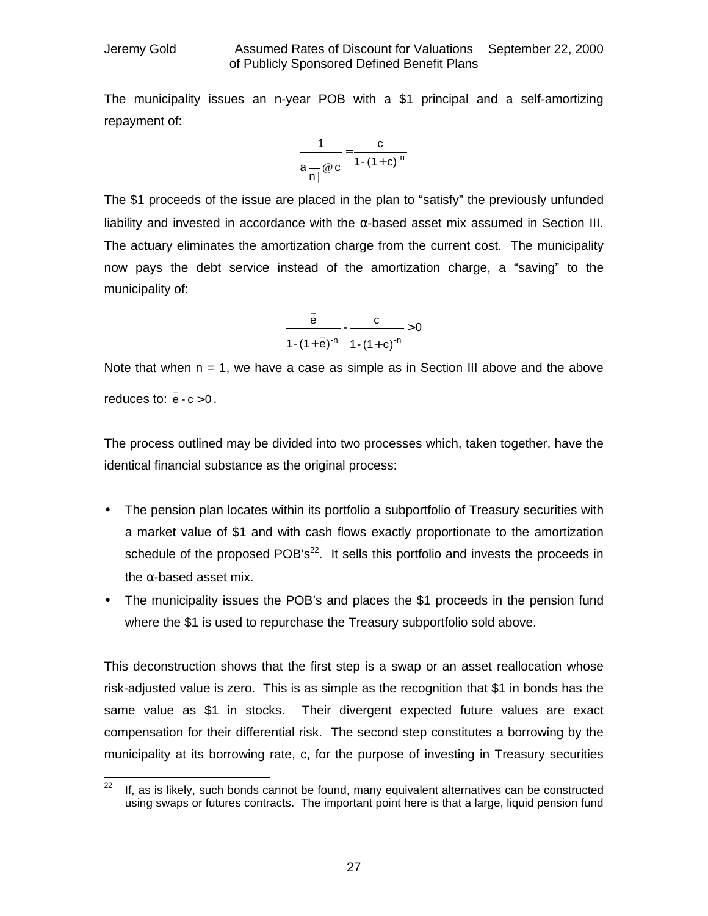The municipality issues an n-year POB with a \$1 principal and a self-amortizing repayment of:

$$
\frac{1}{a\frac{\omega}{n!}\omega c}=\frac{c}{1-(1+c)^{-n}}
$$

The \$1 proceeds of the issue are placed in the plan to "satisfy" the previously unfunded liability and invested in accordance with the  $\alpha$ -based asset mix assumed in Section III. The actuary eliminates the amortization charge from the current cost. The municipality now pays the debt service instead of the amortization charge, a "saving" to the municipality of:

$$
\frac{\bar{e}}{1-(1+\bar{e})^{-n}} - \frac{c}{1-(1+c)^{-n}} > 0
$$

Note that when  $n = 1$ , we have a case as simple as in Section III above and the above reduces to:  $\bar{e}$  - c > 0.

The process outlined may be divided into two processes which, taken together, have the identical financial substance as the original process:

- The pension plan locates within its portfolio a subportfolio of Treasury securities with a market value of \$1 and with cash flows exactly proportionate to the amortization schedule of the proposed  $POB's<sup>22</sup>$ . It sells this portfolio and invests the proceeds in the  $\alpha$ -based asset mix.
- The municipality issues the POB's and places the \$1 proceeds in the pension fund where the \$1 is used to repurchase the Treasury subportfolio sold above.

This deconstruction shows that the first step is a swap or an asset reallocation whose risk-adjusted value is zero. This is as simple as the recognition that \$1 in bonds has the same value as \$1 in stocks. Their divergent expected future values are exact compensation for their differential risk. The second step constitutes a borrowing by the municipality at its borrowing rate, c, for the purpose of investing in Treasury securities

 $22$ If, as is likely, such bonds cannot be found, many equivalent alternatives can be constructed using swaps or futures contracts. The important point here is that a large, liquid pension fund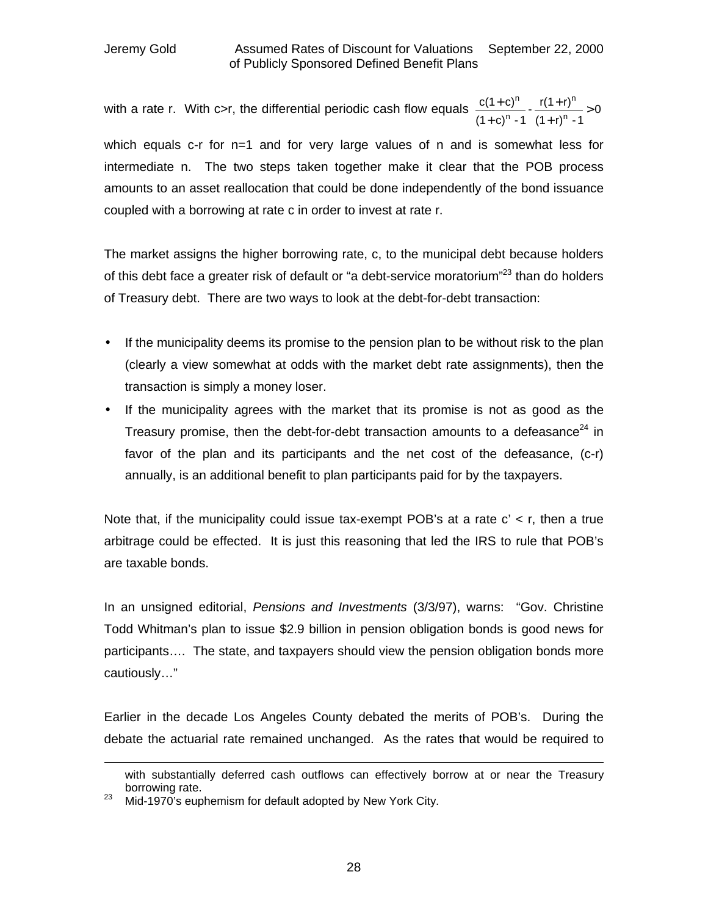with a rate r. With c>r, the differential periodic cash flow equals  $\frac{U(1+U)}{U(1+U)}$  -  $\frac{1}{U(1+U)}$  > 0  $(1 + r)^n - 1$  $-\frac{r(1+r)}{r}$  $(1 + c)^n - 1$  $c(1+c)$ n n n n > + + + +

which equals c-r for n=1 and for very large values of n and is somewhat less for intermediate n. The two steps taken together make it clear that the POB process amounts to an asset reallocation that could be done independently of the bond issuance coupled with a borrowing at rate c in order to invest at rate r.

The market assigns the higher borrowing rate, c, to the municipal debt because holders of this debt face a greater risk of default or "a debt-service moratorium"<sup>23</sup> than do holders of Treasury debt. There are two ways to look at the debt-for-debt transaction:

- If the municipality deems its promise to the pension plan to be without risk to the plan (clearly a view somewhat at odds with the market debt rate assignments), then the transaction is simply a money loser.
- If the municipality agrees with the market that its promise is not as good as the Treasury promise, then the debt-for-debt transaction amounts to a defeasance<sup>24</sup> in favor of the plan and its participants and the net cost of the defeasance, (c-r) annually, is an additional benefit to plan participants paid for by the taxpayers.

Note that, if the municipality could issue tax-exempt POB's at a rate  $c' < r$ , then a true arbitrage could be effected. It is just this reasoning that led the IRS to rule that POB's are taxable bonds.

In an unsigned editorial, *Pensions and Investments* (3/3/97), warns: "Gov. Christine Todd Whitman's plan to issue \$2.9 billion in pension obligation bonds is good news for participants…. The state, and taxpayers should view the pension obligation bonds more cautiously…"

Earlier in the decade Los Angeles County debated the merits of POB's. During the debate the actuarial rate remained unchanged. As the rates that would be required to

with substantially deferred cash outflows can effectively borrow at or near the Treasury borrowing rate.

 $23$  Mid-1970's euphemism for default adopted by New York City.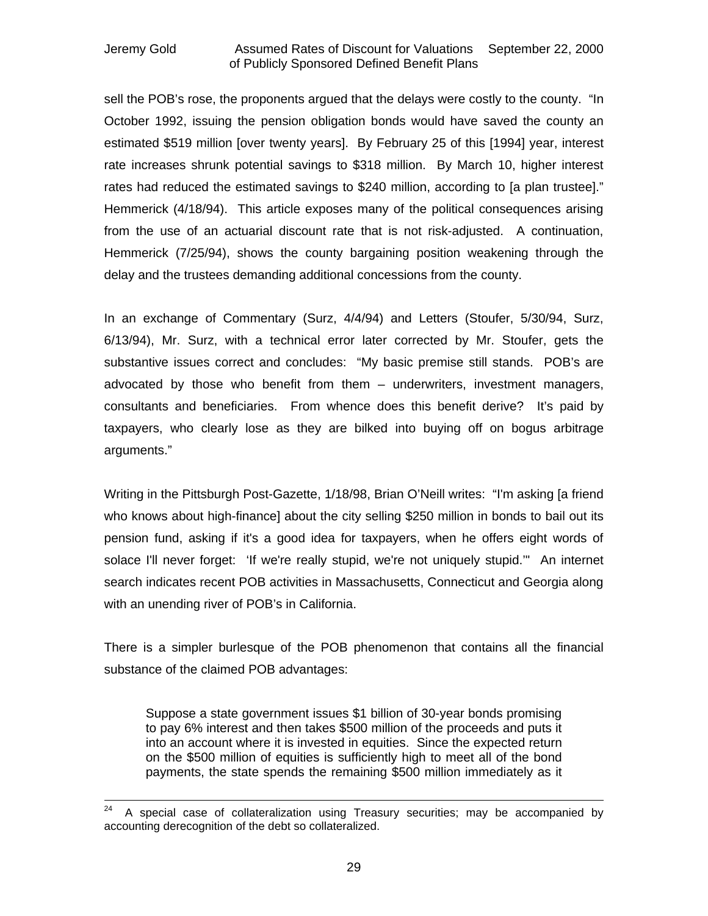sell the POB's rose, the proponents argued that the delays were costly to the county. "In October 1992, issuing the pension obligation bonds would have saved the county an estimated \$519 million [over twenty years]. By February 25 of this [1994] year, interest rate increases shrunk potential savings to \$318 million. By March 10, higher interest rates had reduced the estimated savings to \$240 million, according to [a plan trustee]." Hemmerick (4/18/94). This article exposes many of the political consequences arising from the use of an actuarial discount rate that is not risk-adjusted. A continuation, Hemmerick (7/25/94), shows the county bargaining position weakening through the delay and the trustees demanding additional concessions from the county.

In an exchange of Commentary (Surz, 4/4/94) and Letters (Stoufer, 5/30/94, Surz, 6/13/94), Mr. Surz, with a technical error later corrected by Mr. Stoufer, gets the substantive issues correct and concludes: "My basic premise still stands. POB's are advocated by those who benefit from them – underwriters, investment managers, consultants and beneficiaries. From whence does this benefit derive? It's paid by taxpayers, who clearly lose as they are bilked into buying off on bogus arbitrage arguments."

Writing in the Pittsburgh Post-Gazette, 1/18/98, Brian O'Neill writes: "I'm asking [a friend who knows about high-finance] about the city selling \$250 million in bonds to bail out its pension fund, asking if it's a good idea for taxpayers, when he offers eight words of solace I'll never forget: 'If we're really stupid, we're not uniquely stupid.'" An internet search indicates recent POB activities in Massachusetts, Connecticut and Georgia along with an unending river of POB's in California.

There is a simpler burlesque of the POB phenomenon that contains all the financial substance of the claimed POB advantages:

Suppose a state government issues \$1 billion of 30-year bonds promising to pay 6% interest and then takes \$500 million of the proceeds and puts it into an account where it is invested in equities. Since the expected return on the \$500 million of equities is sufficiently high to meet all of the bond payments, the state spends the remaining \$500 million immediately as it

<sup>24</sup> <sup>24</sup> A special case of collateralization using Treasury securities; may be accompanied by accounting derecognition of the debt so collateralized.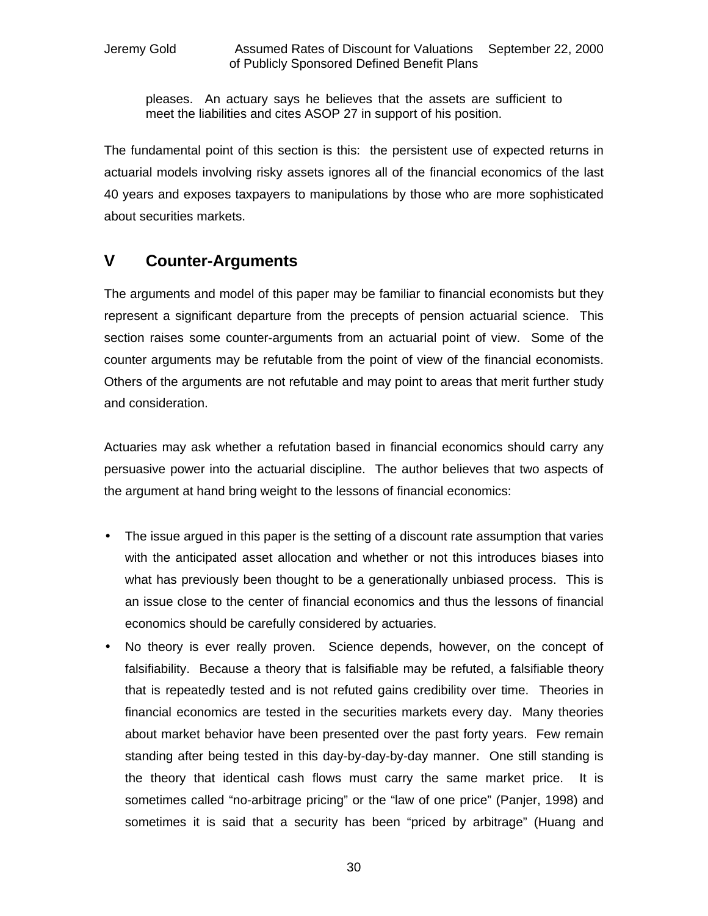pleases. An actuary says he believes that the assets are sufficient to meet the liabilities and cites ASOP 27 in support of his position.

The fundamental point of this section is this: the persistent use of expected returns in actuarial models involving risky assets ignores all of the financial economics of the last 40 years and exposes taxpayers to manipulations by those who are more sophisticated about securities markets.

### **V Counter-Arguments**

The arguments and model of this paper may be familiar to financial economists but they represent a significant departure from the precepts of pension actuarial science. This section raises some counter-arguments from an actuarial point of view. Some of the counter arguments may be refutable from the point of view of the financial economists. Others of the arguments are not refutable and may point to areas that merit further study and consideration.

Actuaries may ask whether a refutation based in financial economics should carry any persuasive power into the actuarial discipline. The author believes that two aspects of the argument at hand bring weight to the lessons of financial economics:

- The issue argued in this paper is the setting of a discount rate assumption that varies with the anticipated asset allocation and whether or not this introduces biases into what has previously been thought to be a generationally unbiased process. This is an issue close to the center of financial economics and thus the lessons of financial economics should be carefully considered by actuaries.
- No theory is ever really proven. Science depends, however, on the concept of falsifiability. Because a theory that is falsifiable may be refuted, a falsifiable theory that is repeatedly tested and is not refuted gains credibility over time. Theories in financial economics are tested in the securities markets every day. Many theories about market behavior have been presented over the past forty years. Few remain standing after being tested in this day-by-day-by-day manner. One still standing is the theory that identical cash flows must carry the same market price. It is sometimes called "no-arbitrage pricing" or the "law of one price" (Panjer, 1998) and sometimes it is said that a security has been "priced by arbitrage" (Huang and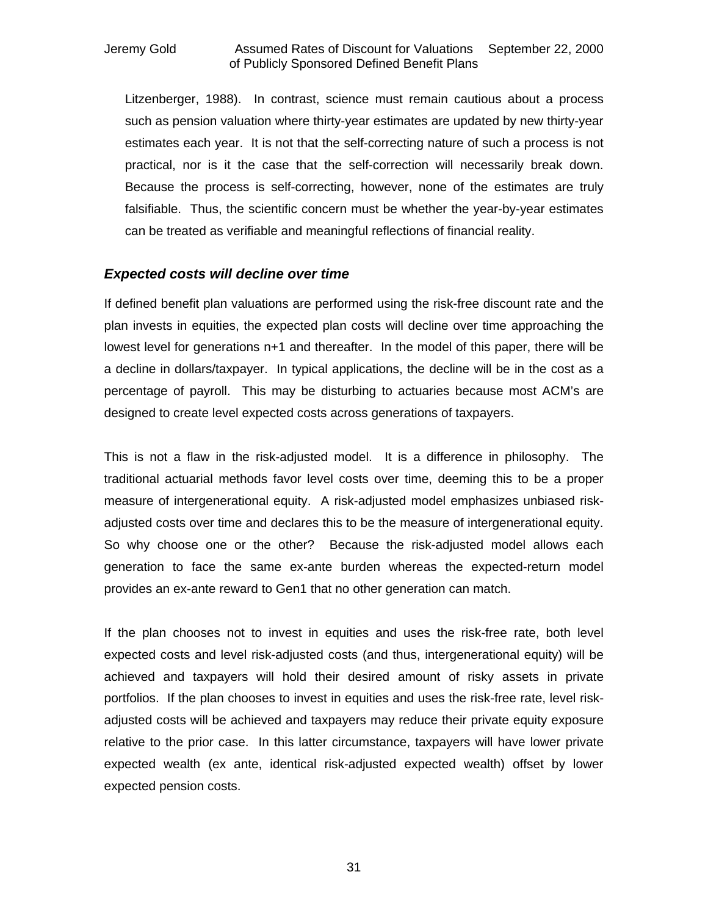Litzenberger, 1988). In contrast, science must remain cautious about a process such as pension valuation where thirty-year estimates are updated by new thirty-year estimates each year. It is not that the self-correcting nature of such a process is not practical, nor is it the case that the self-correction will necessarily break down. Because the process is self-correcting, however, none of the estimates are truly falsifiable. Thus, the scientific concern must be whether the year-by-year estimates can be treated as verifiable and meaningful reflections of financial reality.

### *Expected costs will decline over time*

If defined benefit plan valuations are performed using the risk-free discount rate and the plan invests in equities, the expected plan costs will decline over time approaching the lowest level for generations n+1 and thereafter. In the model of this paper, there will be a decline in dollars/taxpayer. In typical applications, the decline will be in the cost as a percentage of payroll. This may be disturbing to actuaries because most ACM's are designed to create level expected costs across generations of taxpayers.

This is not a flaw in the risk-adjusted model. It is a difference in philosophy. The traditional actuarial methods favor level costs over time, deeming this to be a proper measure of intergenerational equity. A risk-adjusted model emphasizes unbiased riskadjusted costs over time and declares this to be the measure of intergenerational equity. So why choose one or the other? Because the risk-adjusted model allows each generation to face the same ex-ante burden whereas the expected-return model provides an ex-ante reward to Gen1 that no other generation can match.

If the plan chooses not to invest in equities and uses the risk-free rate, both level expected costs and level risk-adjusted costs (and thus, intergenerational equity) will be achieved and taxpayers will hold their desired amount of risky assets in private portfolios. If the plan chooses to invest in equities and uses the risk-free rate, level riskadjusted costs will be achieved and taxpayers may reduce their private equity exposure relative to the prior case. In this latter circumstance, taxpayers will have lower private expected wealth (ex ante, identical risk-adjusted expected wealth) offset by lower expected pension costs.

31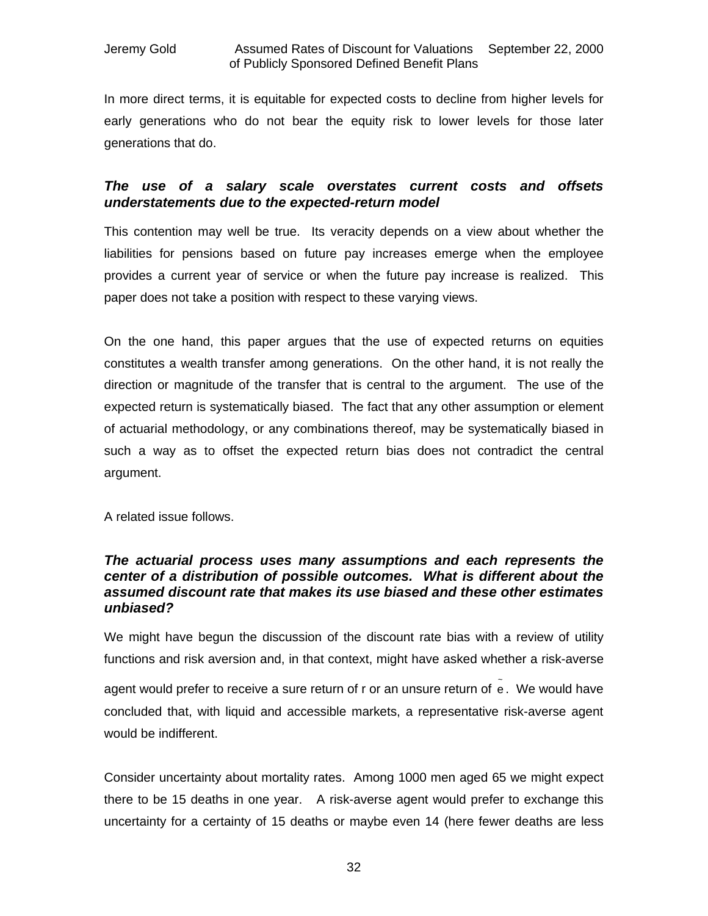In more direct terms, it is equitable for expected costs to decline from higher levels for early generations who do not bear the equity risk to lower levels for those later generations that do.

### *The use of a salary scale overstates current costs and offsets understatements due to the expected-return model*

This contention may well be true. Its veracity depends on a view about whether the liabilities for pensions based on future pay increases emerge when the employee provides a current year of service or when the future pay increase is realized. This paper does not take a position with respect to these varying views.

On the one hand, this paper argues that the use of expected returns on equities constitutes a wealth transfer among generations. On the other hand, it is not really the direction or magnitude of the transfer that is central to the argument. The use of the expected return is systematically biased. The fact that any other assumption or element of actuarial methodology, or any combinations thereof, may be systematically biased in such a way as to offset the expected return bias does not contradict the central argument.

A related issue follows.

### *The actuarial process uses many assumptions and each represents the center of a distribution of possible outcomes. What is different about the assumed discount rate that makes its use biased and these other estimates unbiased?*

We might have begun the discussion of the discount rate bias with a review of utility functions and risk aversion and, in that context, might have asked whether a risk-averse agent would prefer to receive a sure return of r or an unsure return of e. We would have concluded that, with liquid and accessible markets, a representative risk-averse agent would be indifferent.

Consider uncertainty about mortality rates. Among 1000 men aged 65 we might expect there to be 15 deaths in one year. A risk-averse agent would prefer to exchange this uncertainty for a certainty of 15 deaths or maybe even 14 (here fewer deaths are less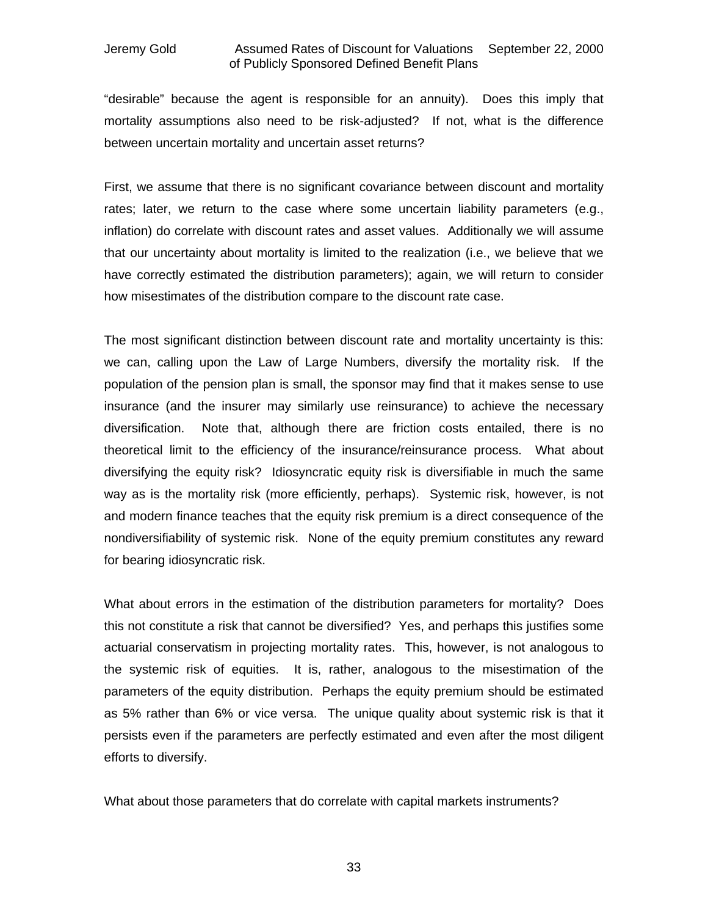"desirable" because the agent is responsible for an annuity). Does this imply that mortality assumptions also need to be risk-adjusted? If not, what is the difference between uncertain mortality and uncertain asset returns?

First, we assume that there is no significant covariance between discount and mortality rates; later, we return to the case where some uncertain liability parameters (e.g., inflation) do correlate with discount rates and asset values. Additionally we will assume that our uncertainty about mortality is limited to the realization (i.e., we believe that we have correctly estimated the distribution parameters); again, we will return to consider how misestimates of the distribution compare to the discount rate case.

The most significant distinction between discount rate and mortality uncertainty is this: we can, calling upon the Law of Large Numbers, diversify the mortality risk. If the population of the pension plan is small, the sponsor may find that it makes sense to use insurance (and the insurer may similarly use reinsurance) to achieve the necessary diversification. Note that, although there are friction costs entailed, there is no theoretical limit to the efficiency of the insurance/reinsurance process. What about diversifying the equity risk? Idiosyncratic equity risk is diversifiable in much the same way as is the mortality risk (more efficiently, perhaps). Systemic risk, however, is not and modern finance teaches that the equity risk premium is a direct consequence of the nondiversifiability of systemic risk. None of the equity premium constitutes any reward for bearing idiosyncratic risk.

What about errors in the estimation of the distribution parameters for mortality? Does this not constitute a risk that cannot be diversified? Yes, and perhaps this justifies some actuarial conservatism in projecting mortality rates. This, however, is not analogous to the systemic risk of equities. It is, rather, analogous to the misestimation of the parameters of the equity distribution. Perhaps the equity premium should be estimated as 5% rather than 6% or vice versa. The unique quality about systemic risk is that it persists even if the parameters are perfectly estimated and even after the most diligent efforts to diversify.

What about those parameters that do correlate with capital markets instruments?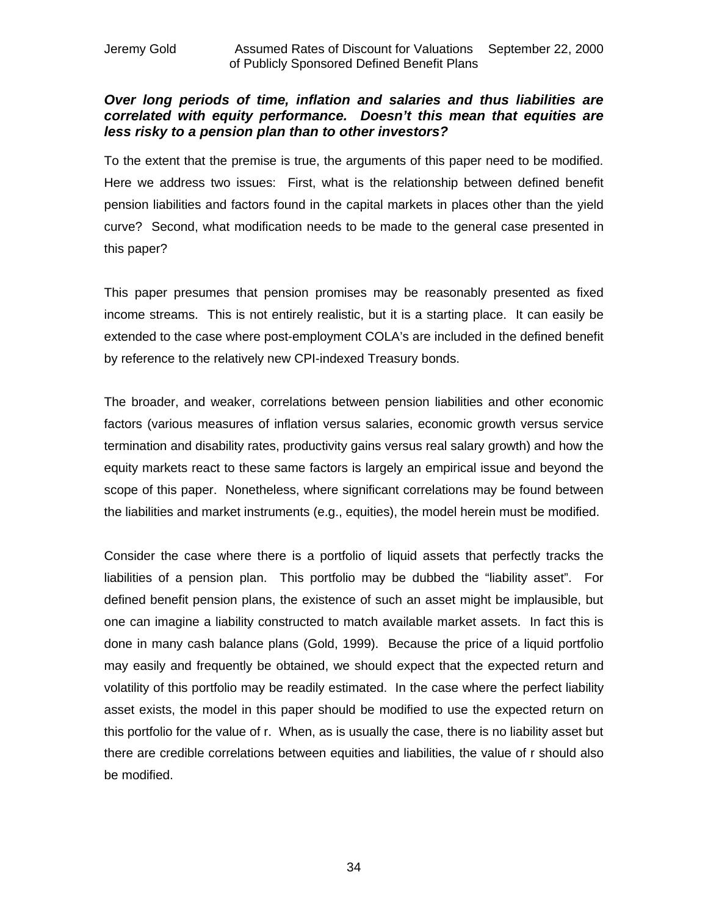### *Over long periods of time, inflation and salaries and thus liabilities are correlated with equity performance. Doesn't this mean that equities are less risky to a pension plan than to other investors?*

To the extent that the premise is true, the arguments of this paper need to be modified. Here we address two issues: First, what is the relationship between defined benefit pension liabilities and factors found in the capital markets in places other than the yield curve? Second, what modification needs to be made to the general case presented in this paper?

This paper presumes that pension promises may be reasonably presented as fixed income streams. This is not entirely realistic, but it is a starting place. It can easily be extended to the case where post-employment COLA's are included in the defined benefit by reference to the relatively new CPI-indexed Treasury bonds.

The broader, and weaker, correlations between pension liabilities and other economic factors (various measures of inflation versus salaries, economic growth versus service termination and disability rates, productivity gains versus real salary growth) and how the equity markets react to these same factors is largely an empirical issue and beyond the scope of this paper. Nonetheless, where significant correlations may be found between the liabilities and market instruments (e.g., equities), the model herein must be modified.

Consider the case where there is a portfolio of liquid assets that perfectly tracks the liabilities of a pension plan. This portfolio may be dubbed the "liability asset". For defined benefit pension plans, the existence of such an asset might be implausible, but one can imagine a liability constructed to match available market assets. In fact this is done in many cash balance plans (Gold, 1999). Because the price of a liquid portfolio may easily and frequently be obtained, we should expect that the expected return and volatility of this portfolio may be readily estimated. In the case where the perfect liability asset exists, the model in this paper should be modified to use the expected return on this portfolio for the value of r. When, as is usually the case, there is no liability asset but there are credible correlations between equities and liabilities, the value of r should also be modified.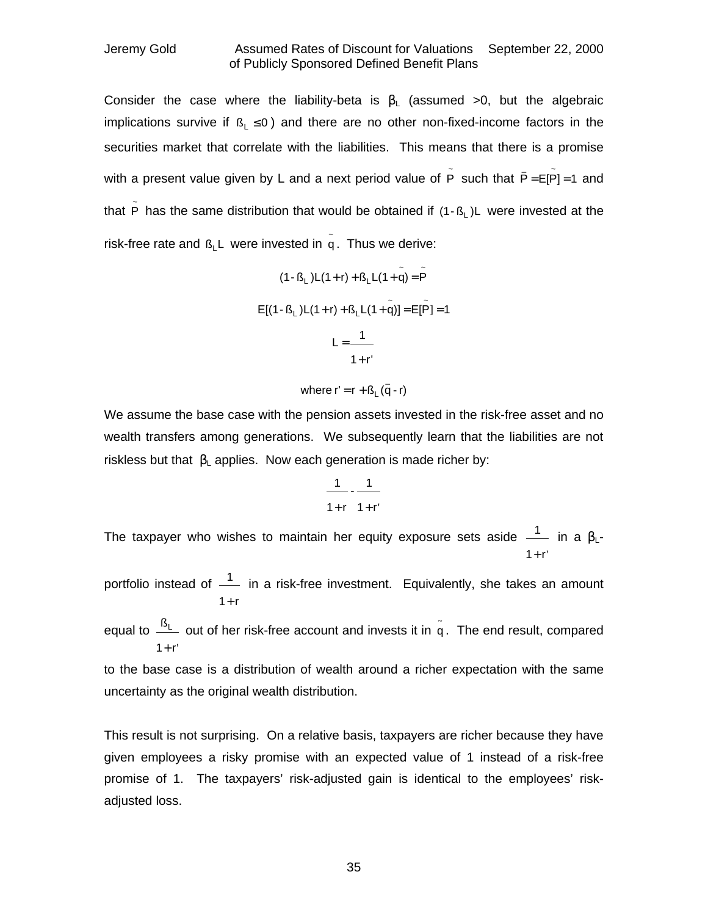Consider the case where the liability-beta is  $\beta_L$  (assumed >0, but the algebraic implications survive if  $\beta_1 \le 0$ ) and there are no other non-fixed-income factors in the securities market that correlate with the liabilities. This means that there is a promise with a present value given by L and a next period value of  $\tilde{P}$  such that  $\bar{P} = E[\tilde{P}]=1$  and that  $\tilde{P}$  has the same distribution that would be obtained if (1- $B_L$ )L were invested at the risk-free rate and  $B_{L}$ L were invested in  $\tilde{q}$ . Thus we derive:

$$
(1 - B_L)L(1 + r) + B_LL(1 + \tilde{q}) = \tilde{P}
$$
  
\n
$$
E[(1 - B_L)L(1 + r) + B_LL(1 + \tilde{q})] = E[\tilde{P}] = 1
$$
  
\n
$$
L = \frac{1}{1 + r'}
$$

where 
$$
r' = r + B_L(\bar{q} - r)
$$

We assume the base case with the pension assets invested in the risk-free asset and no wealth transfers among generations. We subsequently learn that the liabilities are not riskless but that  $\beta_1$  applies. Now each generation is made richer by:

$$
\frac{1}{1+r} - \frac{1}{1+r'}
$$

The taxpayer who wishes to maintain her equity exposure sets aside  $\frac{1}{-}$  in a β<sub>L</sub>- $1 + r'$ +

portfolio instead of  $\frac{1}{1}$  in a risk-free investment. Equivalently, she takes an amount  $1 + r$ +

equal to  $\frac{\mathsf{B}_\mathsf{L}}{}$  out of her risk-free account and invests it in  $\mathsf{\tilde{q}}$  . The end result, compared  $1 + r'$ +

to the base case is a distribution of wealth around a richer expectation with the same uncertainty as the original wealth distribution.

This result is not surprising. On a relative basis, taxpayers are richer because they have given employees a risky promise with an expected value of 1 instead of a risk-free promise of 1. The taxpayers' risk-adjusted gain is identical to the employees' riskadjusted loss.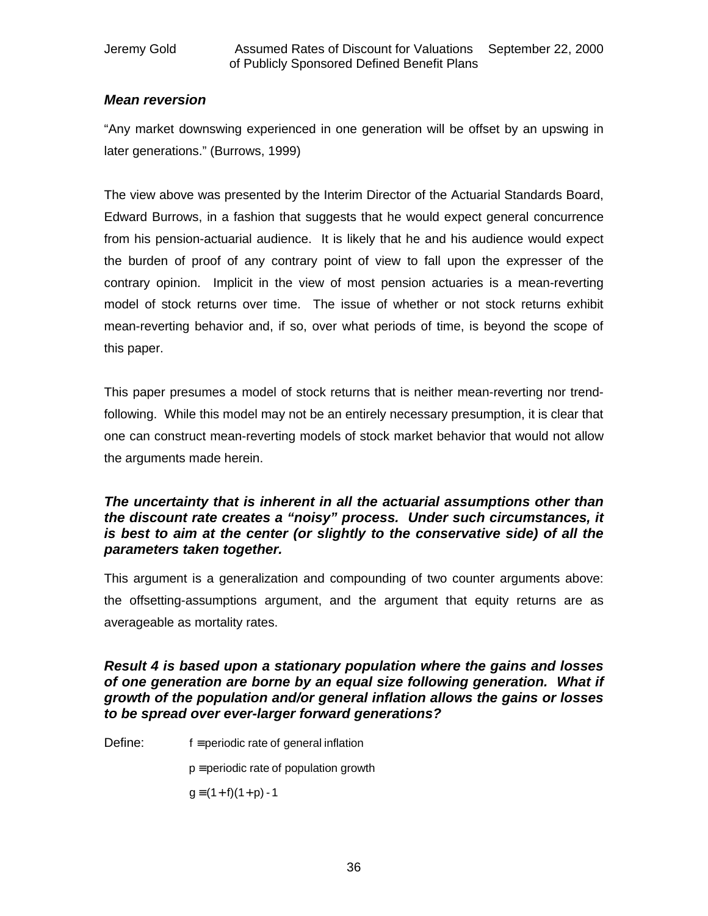### *Mean reversion*

"Any market downswing experienced in one generation will be offset by an upswing in later generations." (Burrows, 1999)

The view above was presented by the Interim Director of the Actuarial Standards Board, Edward Burrows, in a fashion that suggests that he would expect general concurrence from his pension-actuarial audience. It is likely that he and his audience would expect the burden of proof of any contrary point of view to fall upon the expresser of the contrary opinion. Implicit in the view of most pension actuaries is a mean-reverting model of stock returns over time. The issue of whether or not stock returns exhibit mean-reverting behavior and, if so, over what periods of time, is beyond the scope of this paper.

This paper presumes a model of stock returns that is neither mean-reverting nor trendfollowing. While this model may not be an entirely necessary presumption, it is clear that one can construct mean-reverting models of stock market behavior that would not allow the arguments made herein.

### *The uncertainty that is inherent in all the actuarial assumptions other than the discount rate creates a "noisy" process. Under such circumstances, it is best to aim at the center (or slightly to the conservative side) of all the parameters taken together.*

This argument is a generalization and compounding of two counter arguments above: the offsetting-assumptions argument, and the argument that equity returns are as averageable as mortality rates.

### *Result 4 is based upon a stationary population where the gains and losses of one generation are borne by an equal size following generation. What if growth of the population and/or general inflation allows the gains or losses to be spread over ever-larger forward generations?*

Define: f ≡periodic rate of general inflation

 $p \equiv$  periodic rate of population growth

 $q \equiv (1 + f)(1 + p) - 1$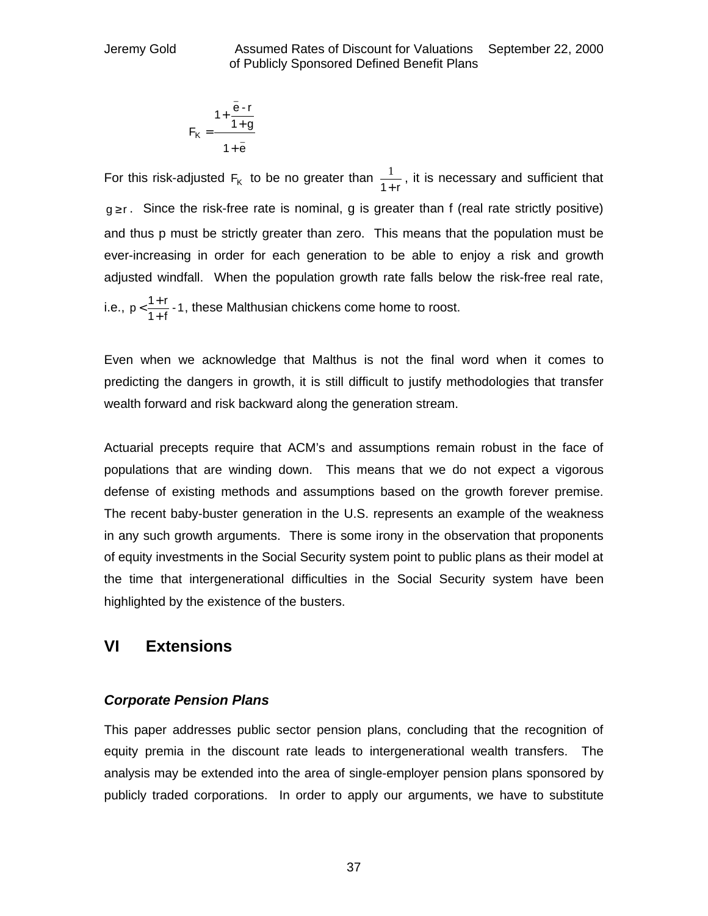$$
F_K = \frac{1 + \frac{\bar{e} \cdot r}{1 + g}}{1 + \bar{e}}
$$

For this risk-adjusted  $F_K$  to be no greater than  $\frac{1}{1+r}$  $\frac{1}{2}$ , it is necessary and sufficient that  $g \ge r$ . Since the risk-free rate is nominal, g is greater than f (real rate strictly positive) and thus p must be strictly greater than zero. This means that the population must be ever-increasing in order for each generation to be able to enjoy a risk and growth adjusted windfall. When the population growth rate falls below the risk-free real rate, i.e.,  $p < \frac{1+1}{1+1} - 1$  $p < \frac{1+r}{1+f}$  $\lt \frac{1+r}{r}$  -1, these Malthusian chickens come home to roost.

Even when we acknowledge that Malthus is not the final word when it comes to predicting the dangers in growth, it is still difficult to justify methodologies that transfer wealth forward and risk backward along the generation stream.

Actuarial precepts require that ACM's and assumptions remain robust in the face of populations that are winding down. This means that we do not expect a vigorous defense of existing methods and assumptions based on the growth forever premise. The recent baby-buster generation in the U.S. represents an example of the weakness in any such growth arguments. There is some irony in the observation that proponents of equity investments in the Social Security system point to public plans as their model at the time that intergenerational difficulties in the Social Security system have been highlighted by the existence of the busters.

### **VI Extensions**

### *Corporate Pension Plans*

This paper addresses public sector pension plans, concluding that the recognition of equity premia in the discount rate leads to intergenerational wealth transfers. The analysis may be extended into the area of single-employer pension plans sponsored by publicly traded corporations. In order to apply our arguments, we have to substitute

37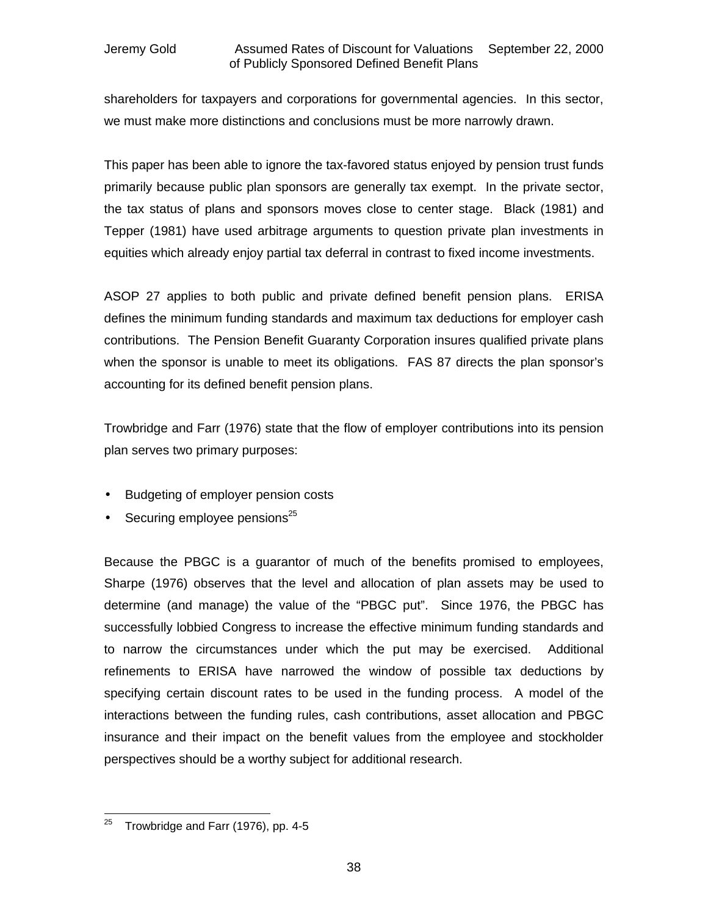shareholders for taxpayers and corporations for governmental agencies. In this sector, we must make more distinctions and conclusions must be more narrowly drawn.

This paper has been able to ignore the tax-favored status enjoyed by pension trust funds primarily because public plan sponsors are generally tax exempt. In the private sector, the tax status of plans and sponsors moves close to center stage. Black (1981) and Tepper (1981) have used arbitrage arguments to question private plan investments in equities which already enjoy partial tax deferral in contrast to fixed income investments.

ASOP 27 applies to both public and private defined benefit pension plans. ERISA defines the minimum funding standards and maximum tax deductions for employer cash contributions. The Pension Benefit Guaranty Corporation insures qualified private plans when the sponsor is unable to meet its obligations. FAS 87 directs the plan sponsor's accounting for its defined benefit pension plans.

Trowbridge and Farr (1976) state that the flow of employer contributions into its pension plan serves two primary purposes:

- Budgeting of employer pension costs
- Securing employee pensions $25$

Because the PBGC is a guarantor of much of the benefits promised to employees, Sharpe (1976) observes that the level and allocation of plan assets may be used to determine (and manage) the value of the "PBGC put". Since 1976, the PBGC has successfully lobbied Congress to increase the effective minimum funding standards and to narrow the circumstances under which the put may be exercised. Additional refinements to ERISA have narrowed the window of possible tax deductions by specifying certain discount rates to be used in the funding process. A model of the interactions between the funding rules, cash contributions, asset allocation and PBGC insurance and their impact on the benefit values from the employee and stockholder perspectives should be a worthy subject for additional research.

  $^{25}$  Trowbridge and Farr (1976), pp. 4-5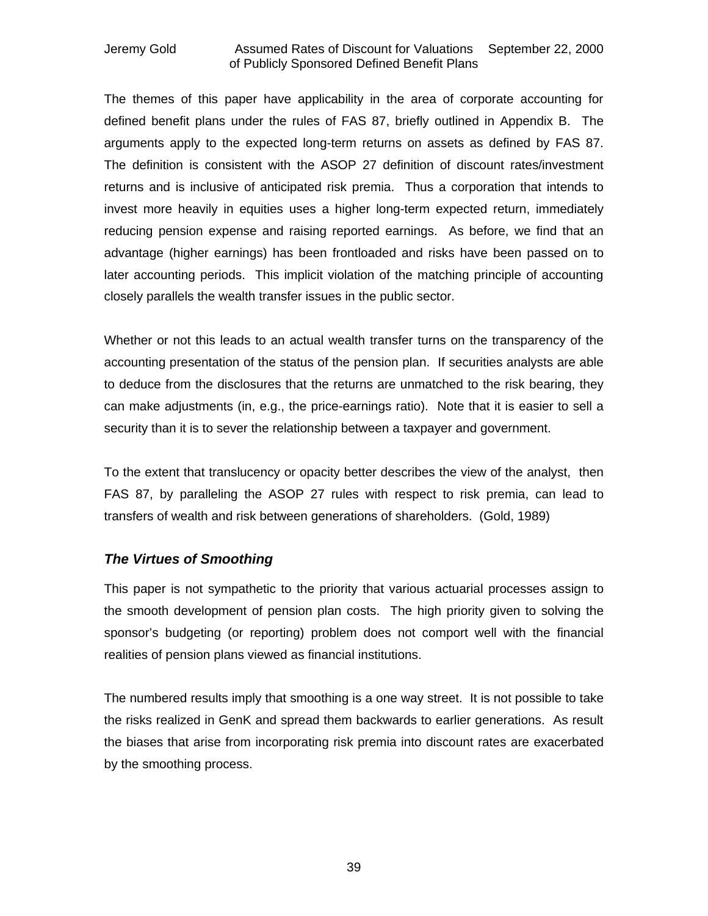The themes of this paper have applicability in the area of corporate accounting for defined benefit plans under the rules of FAS 87, briefly outlined in Appendix B. The arguments apply to the expected long-term returns on assets as defined by FAS 87. The definition is consistent with the ASOP 27 definition of discount rates/investment returns and is inclusive of anticipated risk premia. Thus a corporation that intends to invest more heavily in equities uses a higher long-term expected return, immediately reducing pension expense and raising reported earnings. As before, we find that an advantage (higher earnings) has been frontloaded and risks have been passed on to later accounting periods. This implicit violation of the matching principle of accounting closely parallels the wealth transfer issues in the public sector.

Whether or not this leads to an actual wealth transfer turns on the transparency of the accounting presentation of the status of the pension plan. If securities analysts are able to deduce from the disclosures that the returns are unmatched to the risk bearing, they can make adjustments (in, e.g., the price-earnings ratio). Note that it is easier to sell a security than it is to sever the relationship between a taxpayer and government.

To the extent that translucency or opacity better describes the view of the analyst, then FAS 87, by paralleling the ASOP 27 rules with respect to risk premia, can lead to transfers of wealth and risk between generations of shareholders. (Gold, 1989)

### *The Virtues of Smoothing*

This paper is not sympathetic to the priority that various actuarial processes assign to the smooth development of pension plan costs. The high priority given to solving the sponsor's budgeting (or reporting) problem does not comport well with the financial realities of pension plans viewed as financial institutions.

The numbered results imply that smoothing is a one way street. It is not possible to take the risks realized in GenK and spread them backwards to earlier generations. As result the biases that arise from incorporating risk premia into discount rates are exacerbated by the smoothing process.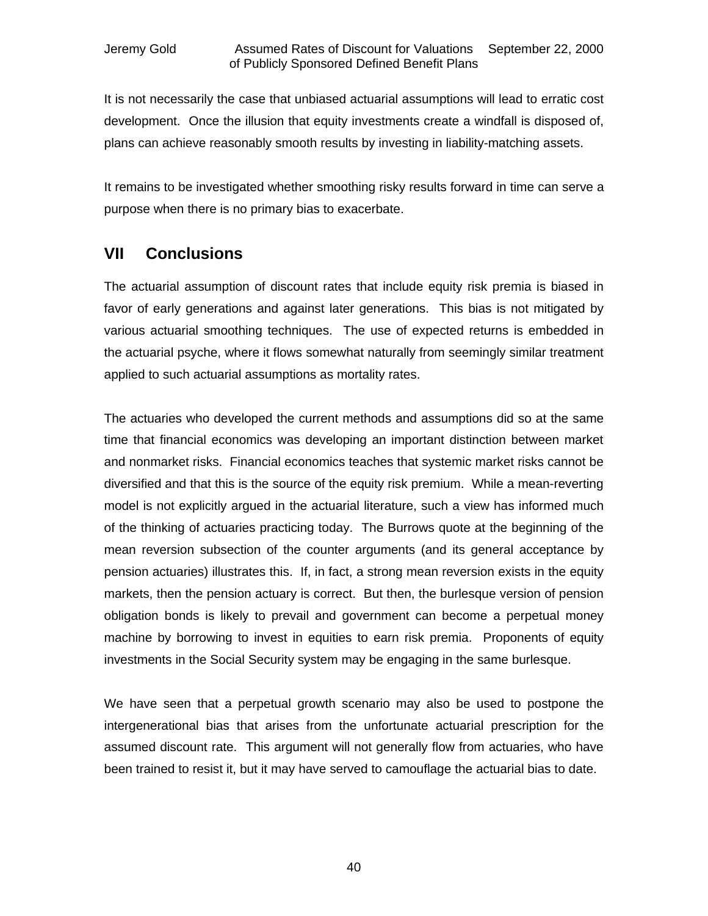It is not necessarily the case that unbiased actuarial assumptions will lead to erratic cost development. Once the illusion that equity investments create a windfall is disposed of, plans can achieve reasonably smooth results by investing in liability-matching assets.

It remains to be investigated whether smoothing risky results forward in time can serve a purpose when there is no primary bias to exacerbate.

### **VII Conclusions**

The actuarial assumption of discount rates that include equity risk premia is biased in favor of early generations and against later generations. This bias is not mitigated by various actuarial smoothing techniques. The use of expected returns is embedded in the actuarial psyche, where it flows somewhat naturally from seemingly similar treatment applied to such actuarial assumptions as mortality rates.

The actuaries who developed the current methods and assumptions did so at the same time that financial economics was developing an important distinction between market and nonmarket risks. Financial economics teaches that systemic market risks cannot be diversified and that this is the source of the equity risk premium. While a mean-reverting model is not explicitly argued in the actuarial literature, such a view has informed much of the thinking of actuaries practicing today. The Burrows quote at the beginning of the mean reversion subsection of the counter arguments (and its general acceptance by pension actuaries) illustrates this. If, in fact, a strong mean reversion exists in the equity markets, then the pension actuary is correct. But then, the burlesque version of pension obligation bonds is likely to prevail and government can become a perpetual money machine by borrowing to invest in equities to earn risk premia. Proponents of equity investments in the Social Security system may be engaging in the same burlesque.

We have seen that a perpetual growth scenario may also be used to postpone the intergenerational bias that arises from the unfortunate actuarial prescription for the assumed discount rate. This argument will not generally flow from actuaries, who have been trained to resist it, but it may have served to camouflage the actuarial bias to date.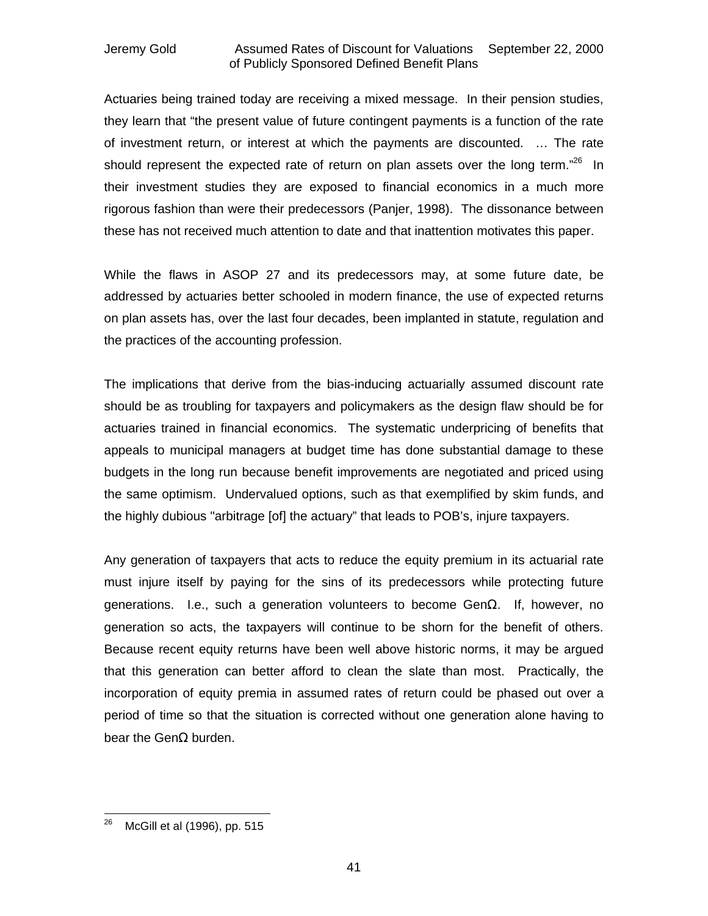Actuaries being trained today are receiving a mixed message. In their pension studies, they learn that "the present value of future contingent payments is a function of the rate of investment return, or interest at which the payments are discounted. … The rate should represent the expected rate of return on plan assets over the long term. $^{26}$  In their investment studies they are exposed to financial economics in a much more rigorous fashion than were their predecessors (Panjer, 1998). The dissonance between these has not received much attention to date and that inattention motivates this paper.

While the flaws in ASOP 27 and its predecessors may, at some future date, be addressed by actuaries better schooled in modern finance, the use of expected returns on plan assets has, over the last four decades, been implanted in statute, regulation and the practices of the accounting profession.

The implications that derive from the bias-inducing actuarially assumed discount rate should be as troubling for taxpayers and policymakers as the design flaw should be for actuaries trained in financial economics. The systematic underpricing of benefits that appeals to municipal managers at budget time has done substantial damage to these budgets in the long run because benefit improvements are negotiated and priced using the same optimism. Undervalued options, such as that exemplified by skim funds, and the highly dubious "arbitrage [of] the actuary" that leads to POB's, injure taxpayers.

Any generation of taxpayers that acts to reduce the equity premium in its actuarial rate must injure itself by paying for the sins of its predecessors while protecting future generations. I.e., such a generation volunteers to become GenΩ. If, however, no generation so acts, the taxpayers will continue to be shorn for the benefit of others. Because recent equity returns have been well above historic norms, it may be argued that this generation can better afford to clean the slate than most. Practically, the incorporation of equity premia in assumed rates of return could be phased out over a period of time so that the situation is corrected without one generation alone having to bear the GenΩ burden.

<sup>26</sup> <sup>26</sup> McGill et al (1996), pp. 515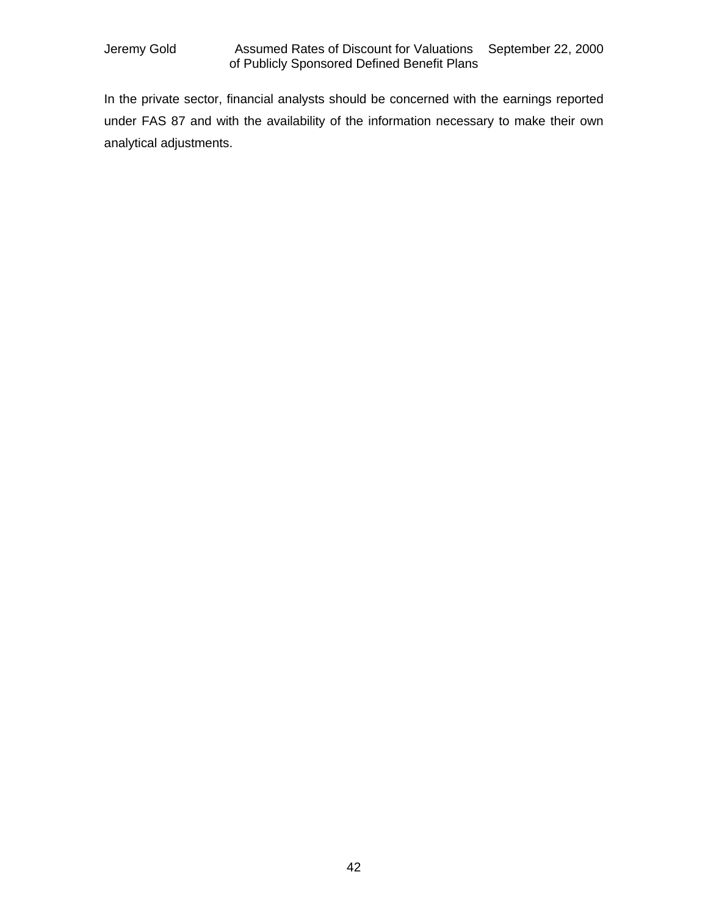In the private sector, financial analysts should be concerned with the earnings reported under FAS 87 and with the availability of the information necessary to make their own analytical adjustments.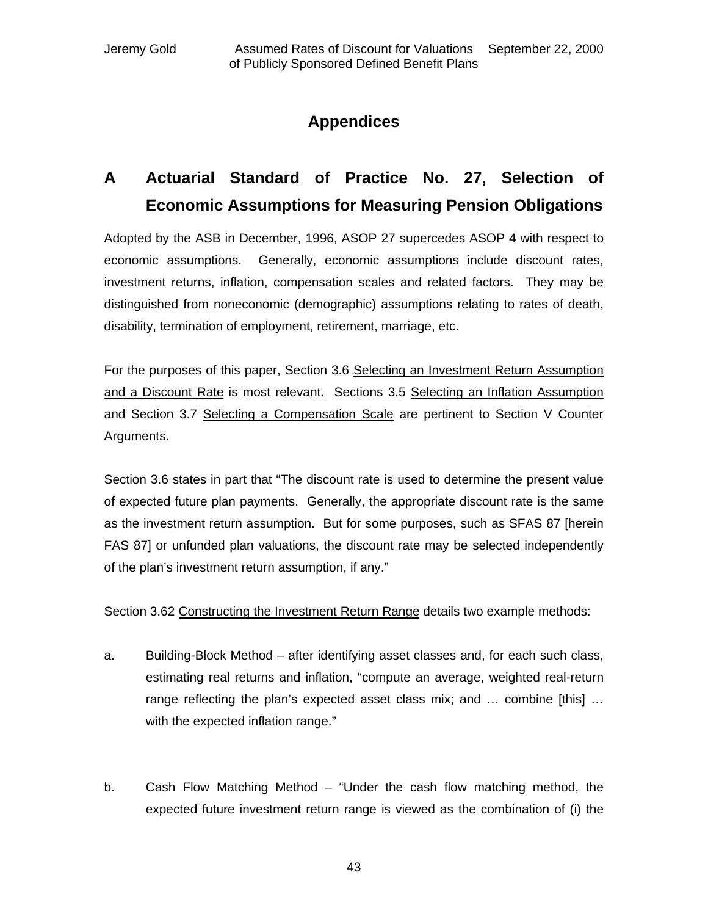## **Appendices**

# **A Actuarial Standard of Practice No. 27, Selection of Economic Assumptions for Measuring Pension Obligations**

Adopted by the ASB in December, 1996, ASOP 27 supercedes ASOP 4 with respect to economic assumptions. Generally, economic assumptions include discount rates, investment returns, inflation, compensation scales and related factors. They may be distinguished from noneconomic (demographic) assumptions relating to rates of death, disability, termination of employment, retirement, marriage, etc.

For the purposes of this paper, Section 3.6 Selecting an Investment Return Assumption and a Discount Rate is most relevant. Sections 3.5 Selecting an Inflation Assumption and Section 3.7 Selecting a Compensation Scale are pertinent to Section V Counter Arguments.

Section 3.6 states in part that "The discount rate is used to determine the present value of expected future plan payments. Generally, the appropriate discount rate is the same as the investment return assumption. But for some purposes, such as SFAS 87 [herein FAS 87] or unfunded plan valuations, the discount rate may be selected independently of the plan's investment return assumption, if any."

Section 3.62 Constructing the Investment Return Range details two example methods:

- a. Building-Block Method after identifying asset classes and, for each such class, estimating real returns and inflation, "compute an average, weighted real-return range reflecting the plan's expected asset class mix; and … combine [this] … with the expected inflation range."
- b. Cash Flow Matching Method "Under the cash flow matching method, the expected future investment return range is viewed as the combination of (i) the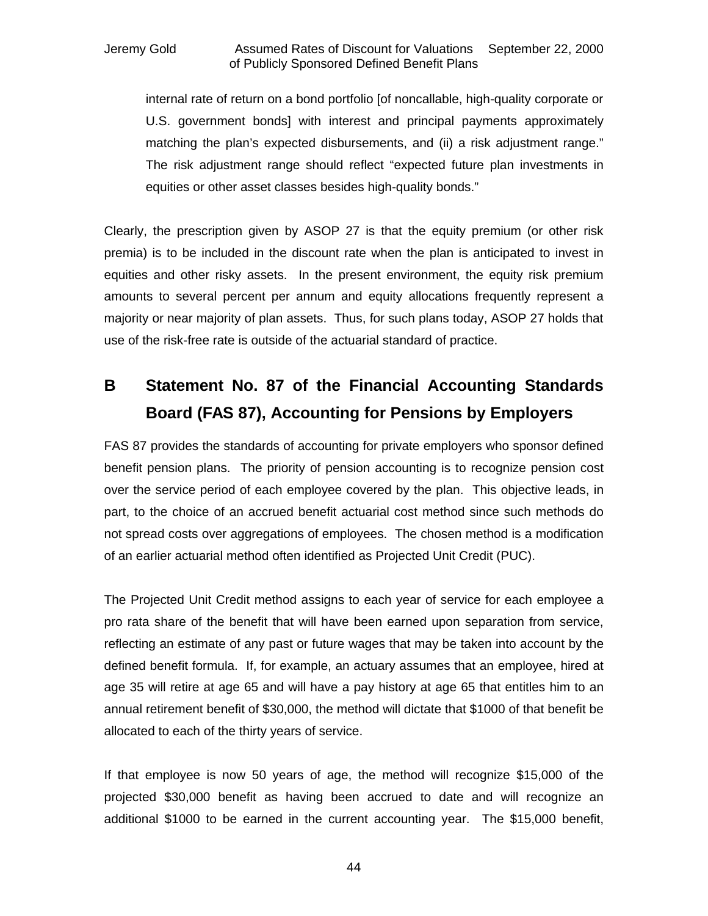internal rate of return on a bond portfolio [of noncallable, high-quality corporate or U.S. government bonds] with interest and principal payments approximately matching the plan's expected disbursements, and (ii) a risk adjustment range." The risk adjustment range should reflect "expected future plan investments in equities or other asset classes besides high-quality bonds."

Clearly, the prescription given by ASOP 27 is that the equity premium (or other risk premia) is to be included in the discount rate when the plan is anticipated to invest in equities and other risky assets. In the present environment, the equity risk premium amounts to several percent per annum and equity allocations frequently represent a majority or near majority of plan assets. Thus, for such plans today, ASOP 27 holds that use of the risk-free rate is outside of the actuarial standard of practice.

# **B Statement No. 87 of the Financial Accounting Standards Board (FAS 87), Accounting for Pensions by Employers**

FAS 87 provides the standards of accounting for private employers who sponsor defined benefit pension plans. The priority of pension accounting is to recognize pension cost over the service period of each employee covered by the plan. This objective leads, in part, to the choice of an accrued benefit actuarial cost method since such methods do not spread costs over aggregations of employees. The chosen method is a modification of an earlier actuarial method often identified as Projected Unit Credit (PUC).

The Projected Unit Credit method assigns to each year of service for each employee a pro rata share of the benefit that will have been earned upon separation from service, reflecting an estimate of any past or future wages that may be taken into account by the defined benefit formula. If, for example, an actuary assumes that an employee, hired at age 35 will retire at age 65 and will have a pay history at age 65 that entitles him to an annual retirement benefit of \$30,000, the method will dictate that \$1000 of that benefit be allocated to each of the thirty years of service.

If that employee is now 50 years of age, the method will recognize \$15,000 of the projected \$30,000 benefit as having been accrued to date and will recognize an additional \$1000 to be earned in the current accounting year. The \$15,000 benefit,

44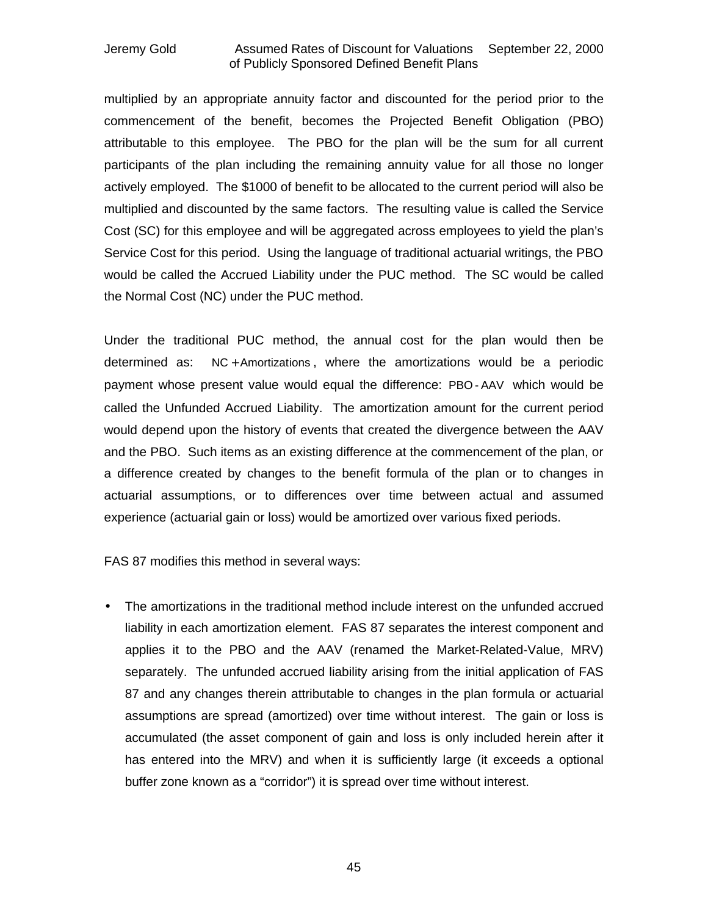multiplied by an appropriate annuity factor and discounted for the period prior to the commencement of the benefit, becomes the Projected Benefit Obligation (PBO) attributable to this employee. The PBO for the plan will be the sum for all current participants of the plan including the remaining annuity value for all those no longer actively employed. The \$1000 of benefit to be allocated to the current period will also be multiplied and discounted by the same factors. The resulting value is called the Service Cost (SC) for this employee and will be aggregated across employees to yield the plan's Service Cost for this period. Using the language of traditional actuarial writings, the PBO would be called the Accrued Liability under the PUC method. The SC would be called the Normal Cost (NC) under the PUC method.

Under the traditional PUC method, the annual cost for the plan would then be determined as: NC + Amortizations , where the amortizations would be a periodic payment whose present value would equal the difference: PBO - AAV which would be called the Unfunded Accrued Liability. The amortization amount for the current period would depend upon the history of events that created the divergence between the AAV and the PBO. Such items as an existing difference at the commencement of the plan, or a difference created by changes to the benefit formula of the plan or to changes in actuarial assumptions, or to differences over time between actual and assumed experience (actuarial gain or loss) would be amortized over various fixed periods.

FAS 87 modifies this method in several ways:

• The amortizations in the traditional method include interest on the unfunded accrued liability in each amortization element. FAS 87 separates the interest component and applies it to the PBO and the AAV (renamed the Market-Related-Value, MRV) separately. The unfunded accrued liability arising from the initial application of FAS 87 and any changes therein attributable to changes in the plan formula or actuarial assumptions are spread (amortized) over time without interest. The gain or loss is accumulated (the asset component of gain and loss is only included herein after it has entered into the MRV) and when it is sufficiently large (it exceeds a optional buffer zone known as a "corridor") it is spread over time without interest.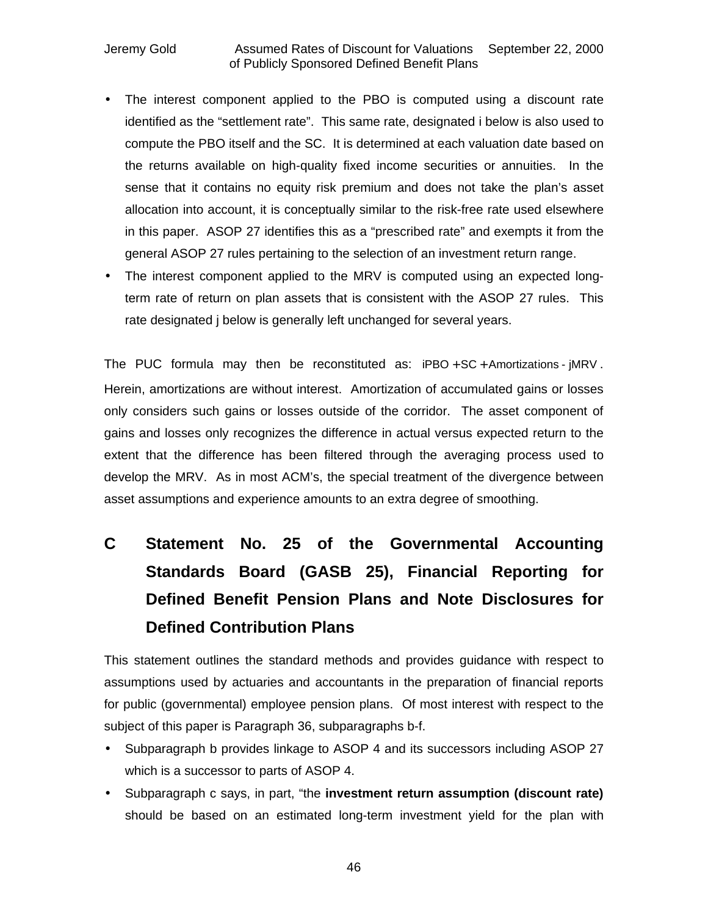- The interest component applied to the PBO is computed using a discount rate identified as the "settlement rate". This same rate, designated i below is also used to compute the PBO itself and the SC. It is determined at each valuation date based on the returns available on high-quality fixed income securities or annuities. In the sense that it contains no equity risk premium and does not take the plan's asset allocation into account, it is conceptually similar to the risk-free rate used elsewhere in this paper. ASOP 27 identifies this as a "prescribed rate" and exempts it from the general ASOP 27 rules pertaining to the selection of an investment return range.
- The interest component applied to the MRV is computed using an expected longterm rate of return on plan assets that is consistent with the ASOP 27 rules. This rate designated j below is generally left unchanged for several years.

The PUC formula may then be reconstituted as:  $iPBO + SC +$  Amortizations -  $jMRV$ . Herein, amortizations are without interest. Amortization of accumulated gains or losses only considers such gains or losses outside of the corridor. The asset component of gains and losses only recognizes the difference in actual versus expected return to the extent that the difference has been filtered through the averaging process used to develop the MRV. As in most ACM's, the special treatment of the divergence between asset assumptions and experience amounts to an extra degree of smoothing.

# **C Statement No. 25 of the Governmental Accounting Standards Board (GASB 25), Financial Reporting for Defined Benefit Pension Plans and Note Disclosures for Defined Contribution Plans**

This statement outlines the standard methods and provides guidance with respect to assumptions used by actuaries and accountants in the preparation of financial reports for public (governmental) employee pension plans. Of most interest with respect to the subject of this paper is Paragraph 36, subparagraphs b-f.

- Subparagraph b provides linkage to ASOP 4 and its successors including ASOP 27 which is a successor to parts of ASOP 4.
- Subparagraph c says, in part, "the **investment return assumption (discount rate)** should be based on an estimated long-term investment yield for the plan with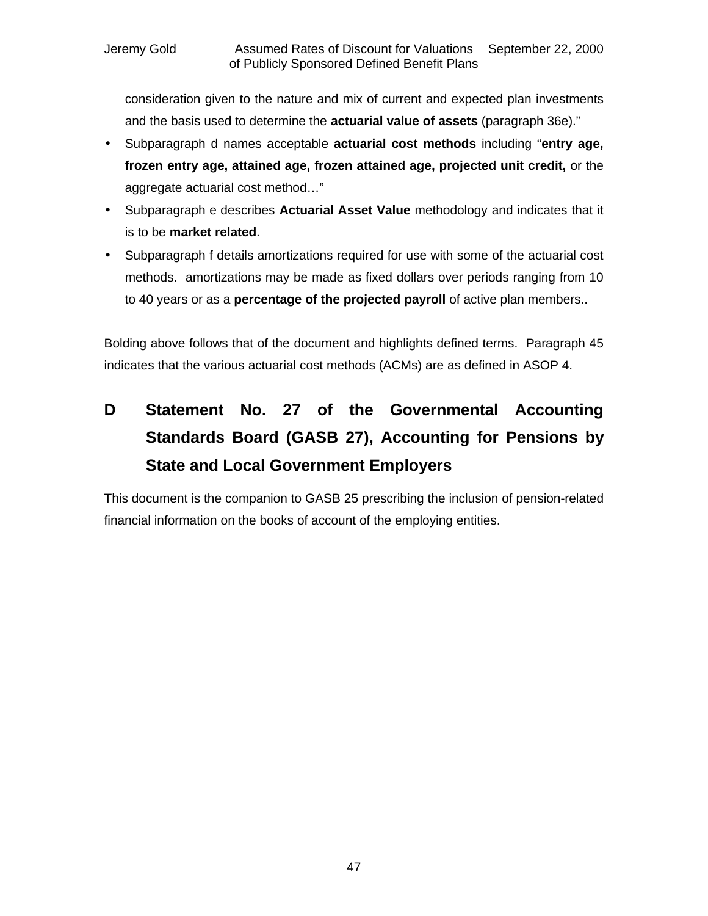consideration given to the nature and mix of current and expected plan investments and the basis used to determine the **actuarial value of assets** (paragraph 36e)."

- Subparagraph d names acceptable **actuarial cost methods** including "**entry age, frozen entry age, attained age, frozen attained age, projected unit credit,** or the aggregate actuarial cost method…"
- Subparagraph e describes **Actuarial Asset Value** methodology and indicates that it is to be **market related**.
- Subparagraph f details amortizations required for use with some of the actuarial cost methods. amortizations may be made as fixed dollars over periods ranging from 10 to 40 years or as a **percentage of the projected payroll** of active plan members..

Bolding above follows that of the document and highlights defined terms. Paragraph 45 indicates that the various actuarial cost methods (ACMs) are as defined in ASOP 4.

# **D Statement No. 27 of the Governmental Accounting Standards Board (GASB 27), Accounting for Pensions by State and Local Government Employers**

This document is the companion to GASB 25 prescribing the inclusion of pension-related financial information on the books of account of the employing entities.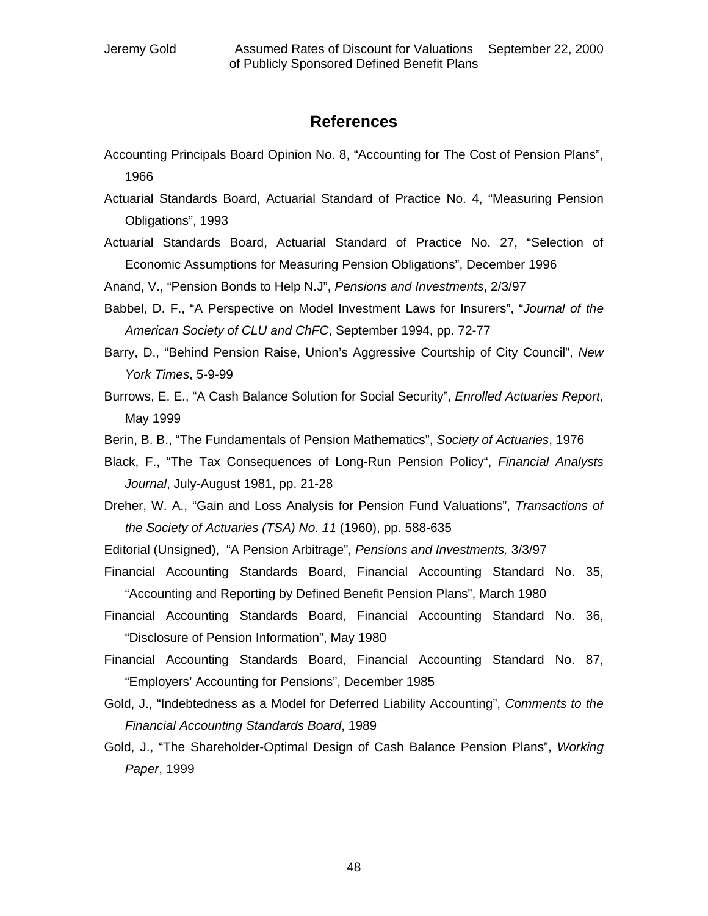### **References**

- Accounting Principals Board Opinion No. 8, "Accounting for The Cost of Pension Plans", 1966
- Actuarial Standards Board, Actuarial Standard of Practice No. 4, "Measuring Pension Obligations", 1993
- Actuarial Standards Board, Actuarial Standard of Practice No. 27, "Selection of Economic Assumptions for Measuring Pension Obligations", December 1996

Anand, V., "Pension Bonds to Help N.J", *Pensions and Investments*, 2/3/97

- Babbel, D. F., "A Perspective on Model Investment Laws for Insurers", "*Journal of the American Society of CLU and ChFC*, September 1994, pp. 72-77
- Barry, D., "Behind Pension Raise, Union's Aggressive Courtship of City Council", *New York Times*, 5-9-99
- Burrows, E. E., "A Cash Balance Solution for Social Security", *Enrolled Actuaries Report*, May 1999
- Berin, B. B., "The Fundamentals of Pension Mathematics", *Society of Actuaries*, 1976
- Black, F., "The Tax Consequences of Long-Run Pension Policy", *Financial Analysts Journal*, July-August 1981, pp. 21-28
- Dreher, W. A., "Gain and Loss Analysis for Pension Fund Valuations", *Transactions of the Society of Actuaries (TSA) No. 11* (1960), pp. 588-635
- Editorial (Unsigned), "A Pension Arbitrage", *Pensions and Investments,* 3/3/97
- Financial Accounting Standards Board, Financial Accounting Standard No. 35, "Accounting and Reporting by Defined Benefit Pension Plans", March 1980
- Financial Accounting Standards Board, Financial Accounting Standard No. 36, "Disclosure of Pension Information", May 1980
- Financial Accounting Standards Board, Financial Accounting Standard No. 87, "Employers' Accounting for Pensions", December 1985
- Gold, J., "Indebtedness as a Model for Deferred Liability Accounting", *Comments to the Financial Accounting Standards Board*, 1989
- Gold, J., "The Shareholder-Optimal Design of Cash Balance Pension Plans", *Working Paper*, 1999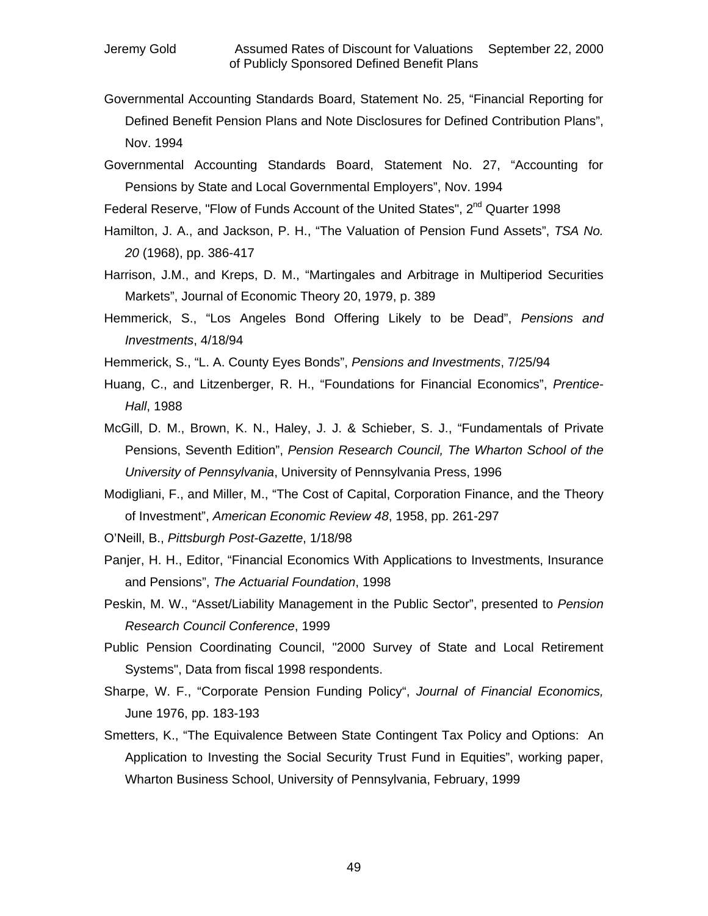- Governmental Accounting Standards Board, Statement No. 25, "Financial Reporting for Defined Benefit Pension Plans and Note Disclosures for Defined Contribution Plans", Nov. 1994
- Governmental Accounting Standards Board, Statement No. 27, "Accounting for Pensions by State and Local Governmental Employers", Nov. 1994

Federal Reserve, "Flow of Funds Account of the United States", 2<sup>nd</sup> Quarter 1998

- Hamilton, J. A., and Jackson, P. H., "The Valuation of Pension Fund Assets", *TSA No. 20* (1968), pp. 386-417
- Harrison, J.M., and Kreps, D. M., "Martingales and Arbitrage in Multiperiod Securities Markets", Journal of Economic Theory 20, 1979, p. 389
- Hemmerick, S., "Los Angeles Bond Offering Likely to be Dead", *Pensions and Investments*, 4/18/94
- Hemmerick, S., "L. A. County Eyes Bonds", *Pensions and Investments*, 7/25/94
- Huang, C., and Litzenberger, R. H., "Foundations for Financial Economics", *Prentice-Hall*, 1988
- McGill, D. M., Brown, K. N., Haley, J. J. & Schieber, S. J., "Fundamentals of Private Pensions, Seventh Edition", *Pension Research Council, The Wharton School of the University of Pennsylvania*, University of Pennsylvania Press, 1996
- Modigliani, F., and Miller, M., "The Cost of Capital, Corporation Finance, and the Theory of Investment", *American Economic Review 48*, 1958, pp. 261-297
- O'Neill, B., *Pittsburgh Post-Gazette*, 1/18/98
- Panjer, H. H., Editor, "Financial Economics With Applications to Investments, Insurance and Pensions", *The Actuarial Foundation*, 1998
- Peskin, M. W., "Asset/Liability Management in the Public Sector", presented to *Pension Research Council Conference*, 1999
- Public Pension Coordinating Council, "2000 Survey of State and Local Retirement Systems", Data from fiscal 1998 respondents.
- Sharpe, W. F., "Corporate Pension Funding Policy", *Journal of Financial Economics,* June 1976, pp. 183-193
- Smetters, K., "The Equivalence Between State Contingent Tax Policy and Options: An Application to Investing the Social Security Trust Fund in Equities", working paper, Wharton Business School, University of Pennsylvania, February, 1999